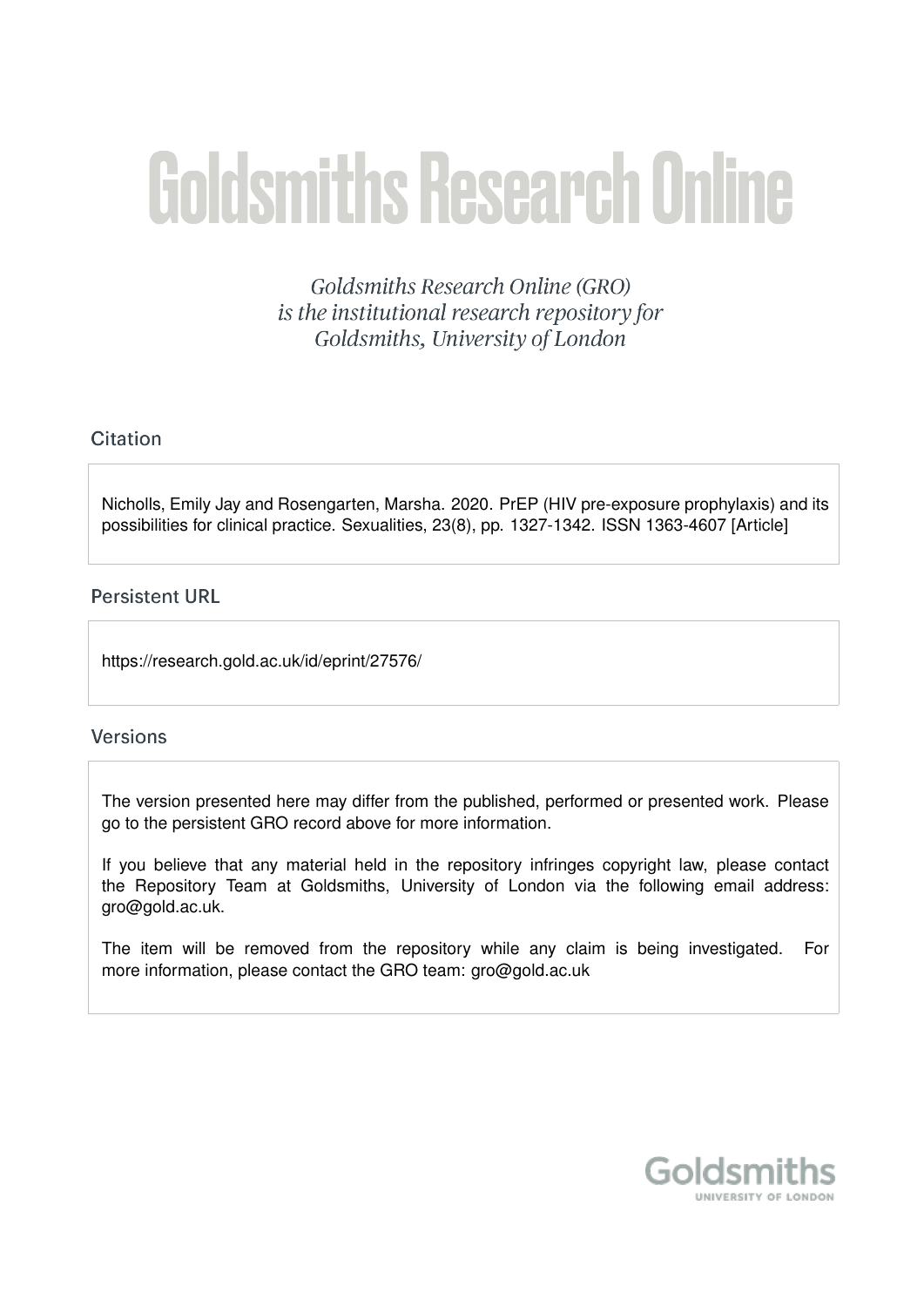# **Goldsmiths Research Online**

Goldsmiths Research Online (GRO) is the institutional research repository for Goldsmiths, University of London

# Citation

Nicholls, Emily Jay and Rosengarten, Marsha. 2020. PrEP (HIV pre-exposure prophylaxis) and its possibilities for clinical practice. Sexualities, 23(8), pp. 1327-1342. ISSN 1363-4607 [Article]

# **Persistent URL**

https://research.gold.ac.uk/id/eprint/27576/

#### **Versions**

The version presented here may differ from the published, performed or presented work. Please go to the persistent GRO record above for more information.

If you believe that any material held in the repository infringes copyright law, please contact the Repository Team at Goldsmiths, University of London via the following email address: gro@gold.ac.uk.

The item will be removed from the repository while any claim is being investigated. For more information, please contact the GRO team: gro@gold.ac.uk

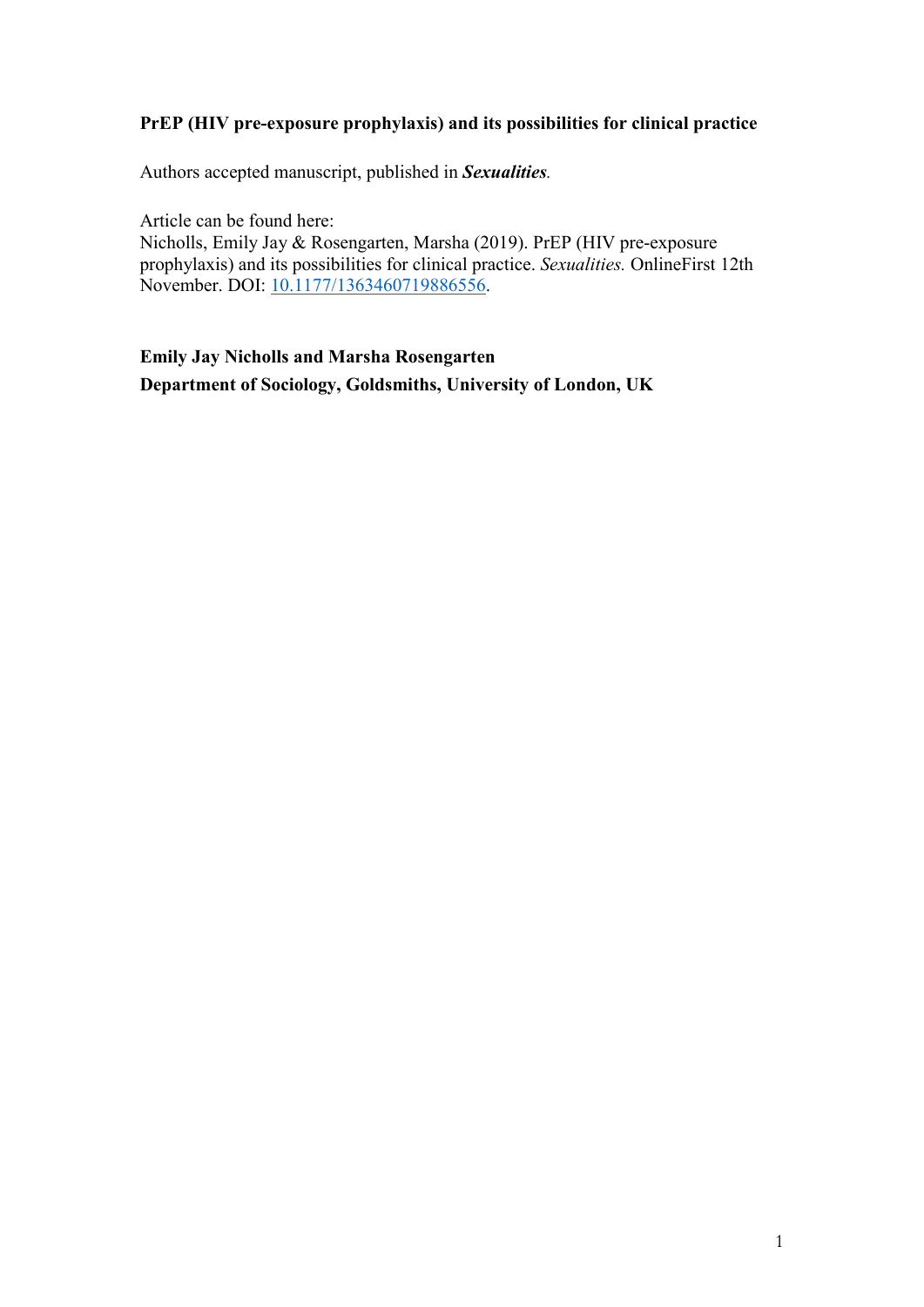# **PrEP (HIV pre-exposure prophylaxis) and its possibilities for clinical practice**

Authors accepted manuscript, published in *Sexualities.*

Article can be found here:

Nicholls, Emily Jay & Rosengarten, Marsha (2019). PrEP (HIV pre-exposure prophylaxis) and its possibilities for clinical practice. *Sexualities.* OnlineFirst 12th November. DOI: [10.1177/1363460719886556.](https://doi.org/10.1177/1363460719886556)

**Emily Jay Nicholls and Marsha Rosengarten Department of Sociology, Goldsmiths, University of London, UK**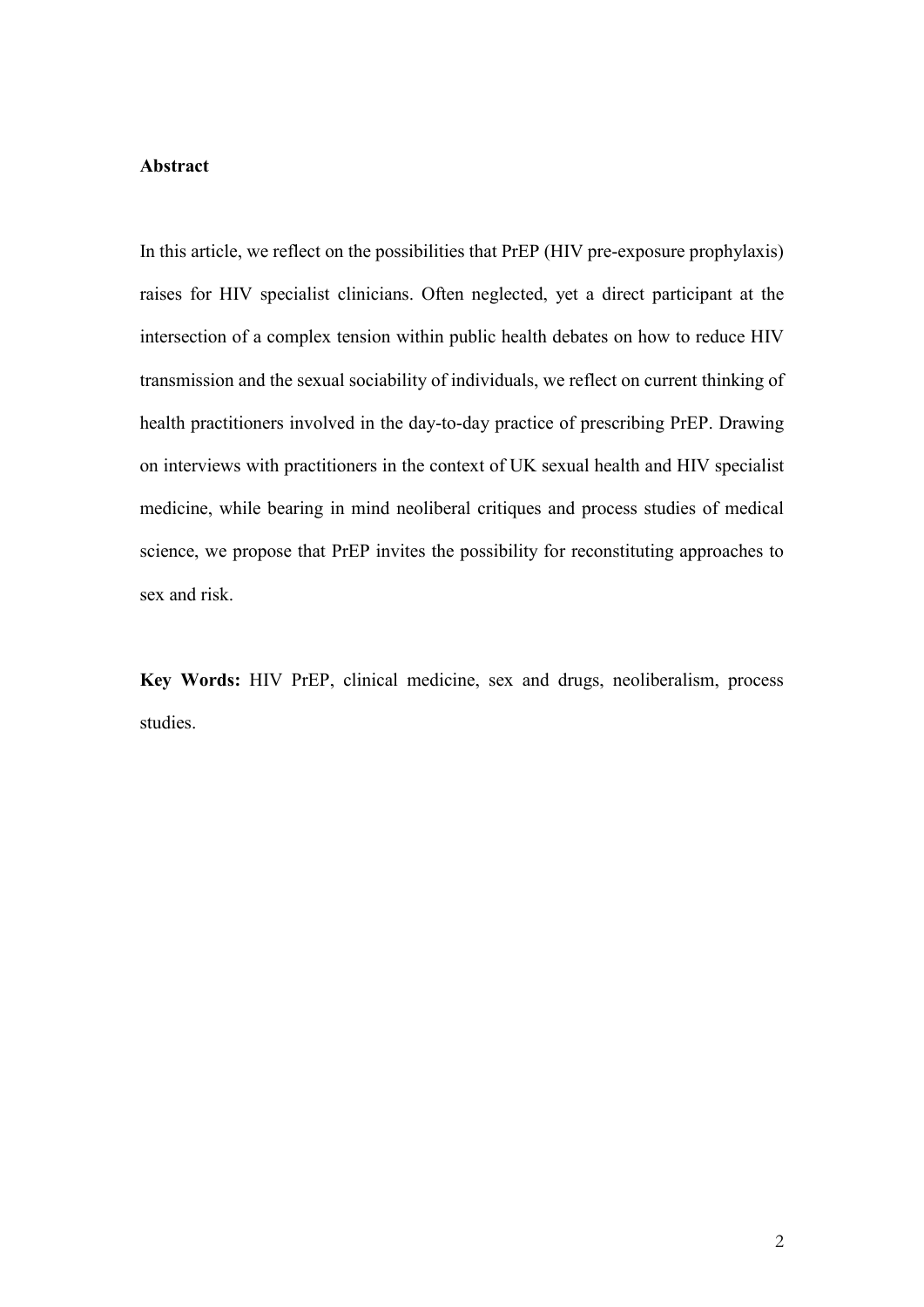#### **Abstract**

In this article, we reflect on the possibilities that PrEP (HIV pre-exposure prophylaxis) raises for HIV specialist clinicians. Often neglected, yet a direct participant at the intersection of a complex tension within public health debates on how to reduce HIV transmission and the sexual sociability of individuals, we reflect on current thinking of health practitioners involved in the day-to-day practice of prescribing PrEP. Drawing on interviews with practitioners in the context of UK sexual health and HIV specialist medicine, while bearing in mind neoliberal critiques and process studies of medical science, we propose that PrEP invites the possibility for reconstituting approaches to sex and risk.

**Key Words:** HIV PrEP, clinical medicine, sex and drugs, neoliberalism, process studies.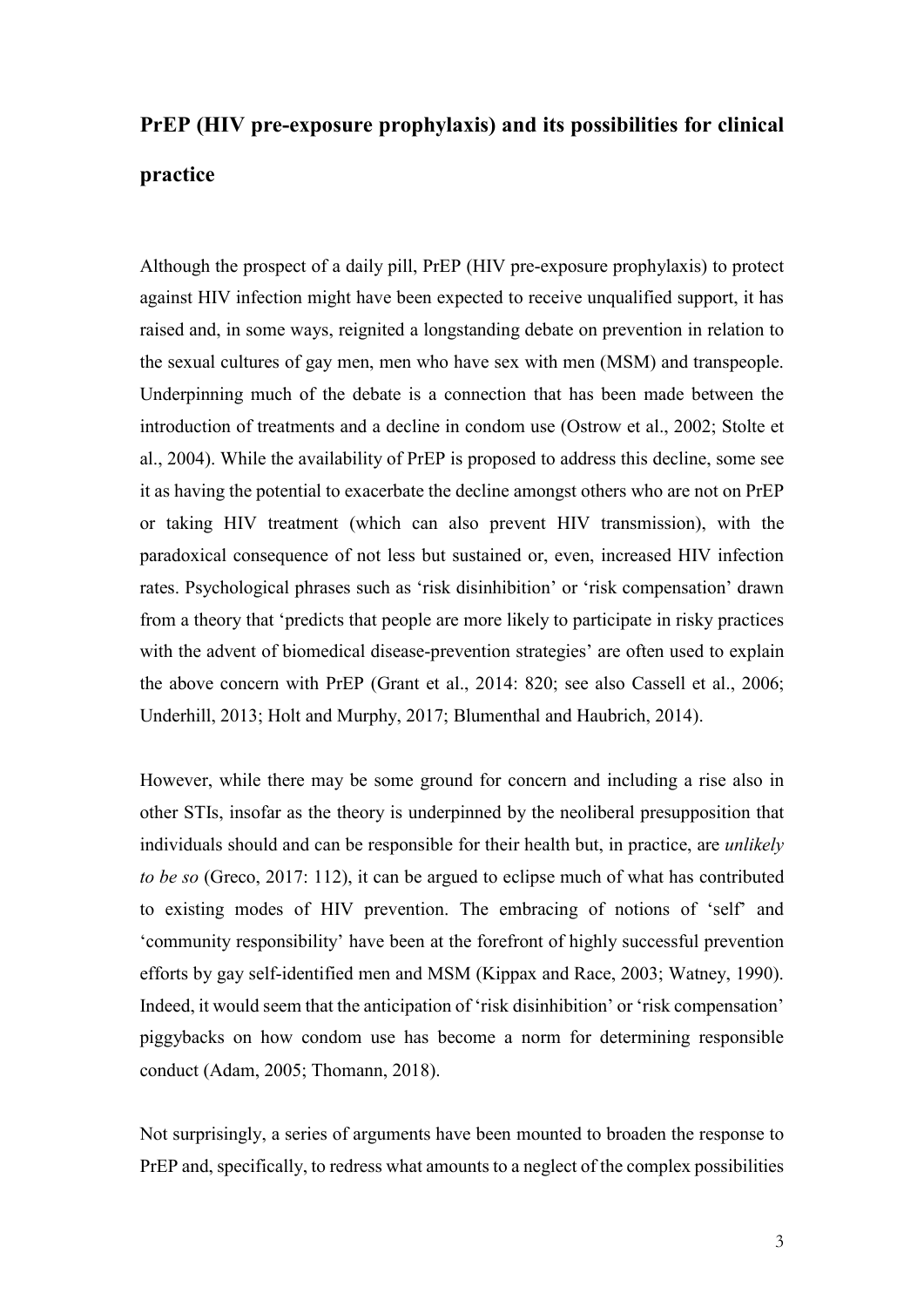# **PrEP (HIV pre-exposure prophylaxis) and its possibilities for clinical practice**

Although the prospect of a daily pill, PrEP (HIV pre-exposure prophylaxis) to protect against HIV infection might have been expected to receive unqualified support, it has raised and, in some ways, reignited a longstanding debate on prevention in relation to the sexual cultures of gay men, men who have sex with men (MSM) and transpeople. Underpinning much of the debate is a connection that has been made between the introduction of treatments and a decline in condom use (Ostrow et al., 2002; Stolte et al., 2004). While the availability of PrEP is proposed to address this decline, some see it as having the potential to exacerbate the decline amongst others who are not on PrEP or taking HIV treatment (which can also prevent HIV transmission), with the paradoxical consequence of not less but sustained or, even, increased HIV infection rates. Psychological phrases such as 'risk disinhibition' or 'risk compensation' drawn from a theory that 'predicts that people are more likely to participate in risky practices with the advent of biomedical disease-prevention strategies' are often used to explain the above concern with PrEP (Grant et al., 2014: 820; see also Cassell et al., 2006; Underhill, 2013; Holt and Murphy, 2017; Blumenthal and Haubrich, 2014).

However, while there may be some ground for concern and including a rise also in other STIs, insofar as the theory is underpinned by the neoliberal presupposition that individuals should and can be responsible for their health but, in practice, are *unlikely to be so* (Greco, 2017: 112), it can be argued to eclipse much of what has contributed to existing modes of HIV prevention. The embracing of notions of 'self' and 'community responsibility' have been at the forefront of highly successful prevention efforts by gay self-identified men and MSM (Kippax and Race, 2003; Watney, 1990). Indeed, it would seem that the anticipation of 'risk disinhibition' or 'risk compensation' piggybacks on how condom use has become a norm for determining responsible conduct (Adam, 2005; Thomann, 2018).

Not surprisingly, a series of arguments have been mounted to broaden the response to PrEP and, specifically, to redress what amounts to a neglect of the complex possibilities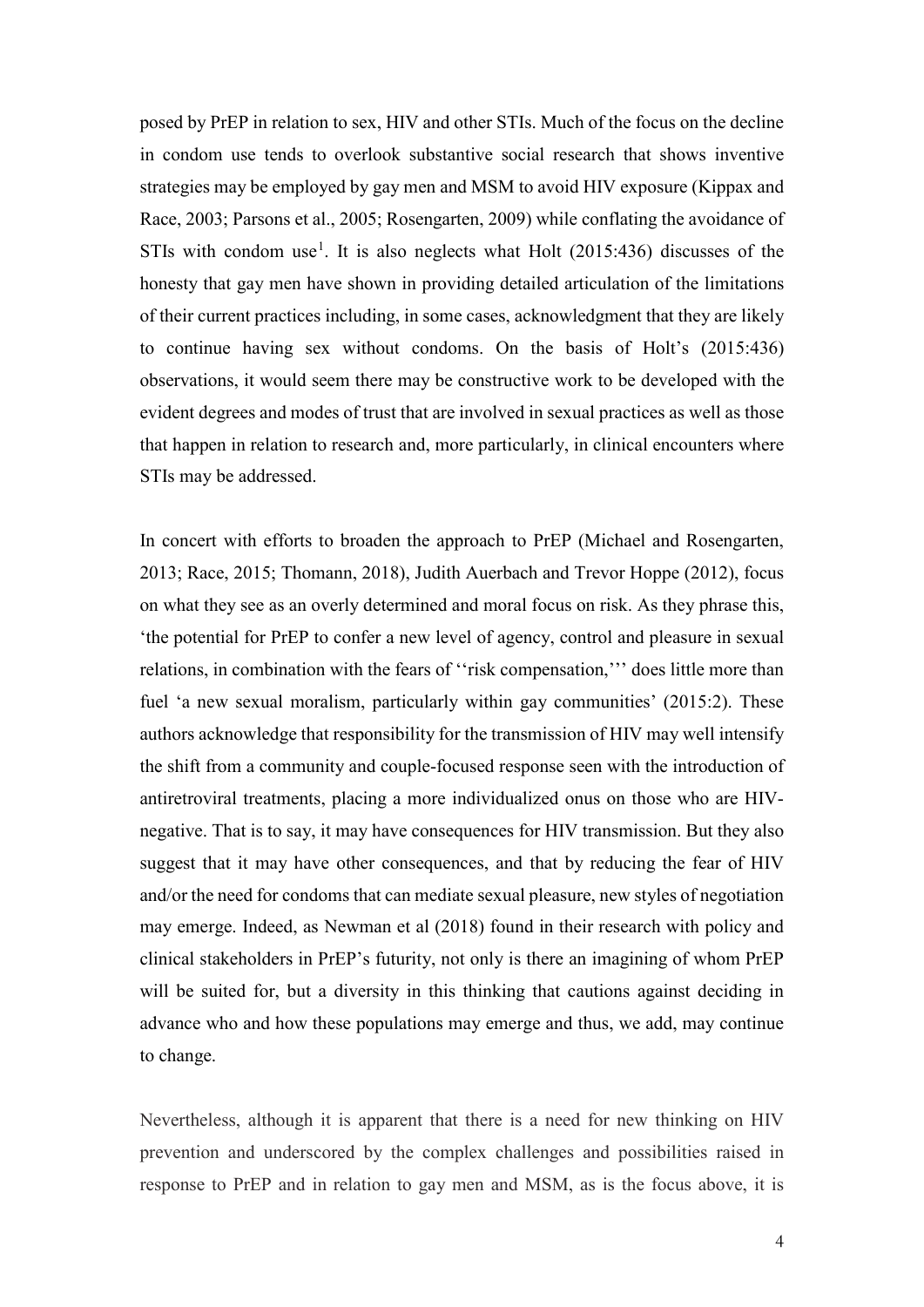posed by PrEP in relation to sex, HIV and other STIs. Much of the focus on the decline in condom use tends to overlook substantive social research that shows inventive strategies may be employed by gay men and MSM to avoid HIV exposure (Kippax and Race, 2003; Parsons et al., 2005; Rosengarten, 2009) while conflating the avoidance of STIs with condom use<sup>[1](#page-21-0)</sup>. It is also neglects what Holt  $(2015:436)$  discusses of the honesty that gay men have shown in providing detailed articulation of the limitations of their current practices including, in some cases, acknowledgment that they are likely to continue having sex without condoms. On the basis of Holt's (2015:436) observations, it would seem there may be constructive work to be developed with the evident degrees and modes of trust that are involved in sexual practices as well as those that happen in relation to research and, more particularly, in clinical encounters where STIs may be addressed.

In concert with efforts to broaden the approach to PrEP (Michael and Rosengarten, 2013; Race, 2015; Thomann, 2018), Judith Auerbach and Trevor Hoppe (2012), focus on what they see as an overly determined and moral focus on risk. As they phrase this, 'the potential for PrEP to confer a new level of agency, control and pleasure in sexual relations, in combination with the fears of ''risk compensation,''' does little more than fuel 'a new sexual moralism, particularly within gay communities' (2015:2). These authors acknowledge that responsibility for the transmission of HIV may well intensify the shift from a community and couple-focused response seen with the introduction of antiretroviral treatments, placing a more individualized onus on those who are HIVnegative. That is to say, it may have consequences for HIV transmission. But they also suggest that it may have other consequences, and that by reducing the fear of HIV and/or the need for condoms that can mediate sexual pleasure, new styles of negotiation may emerge. Indeed, as Newman et al (2018) found in their research with policy and clinical stakeholders in PrEP's futurity, not only is there an imagining of whom PrEP will be suited for, but a diversity in this thinking that cautions against deciding in advance who and how these populations may emerge and thus, we add, may continue to change.

Nevertheless, although it is apparent that there is a need for new thinking on HIV prevention and underscored by the complex challenges and possibilities raised in response to PrEP and in relation to gay men and MSM, as is the focus above, it is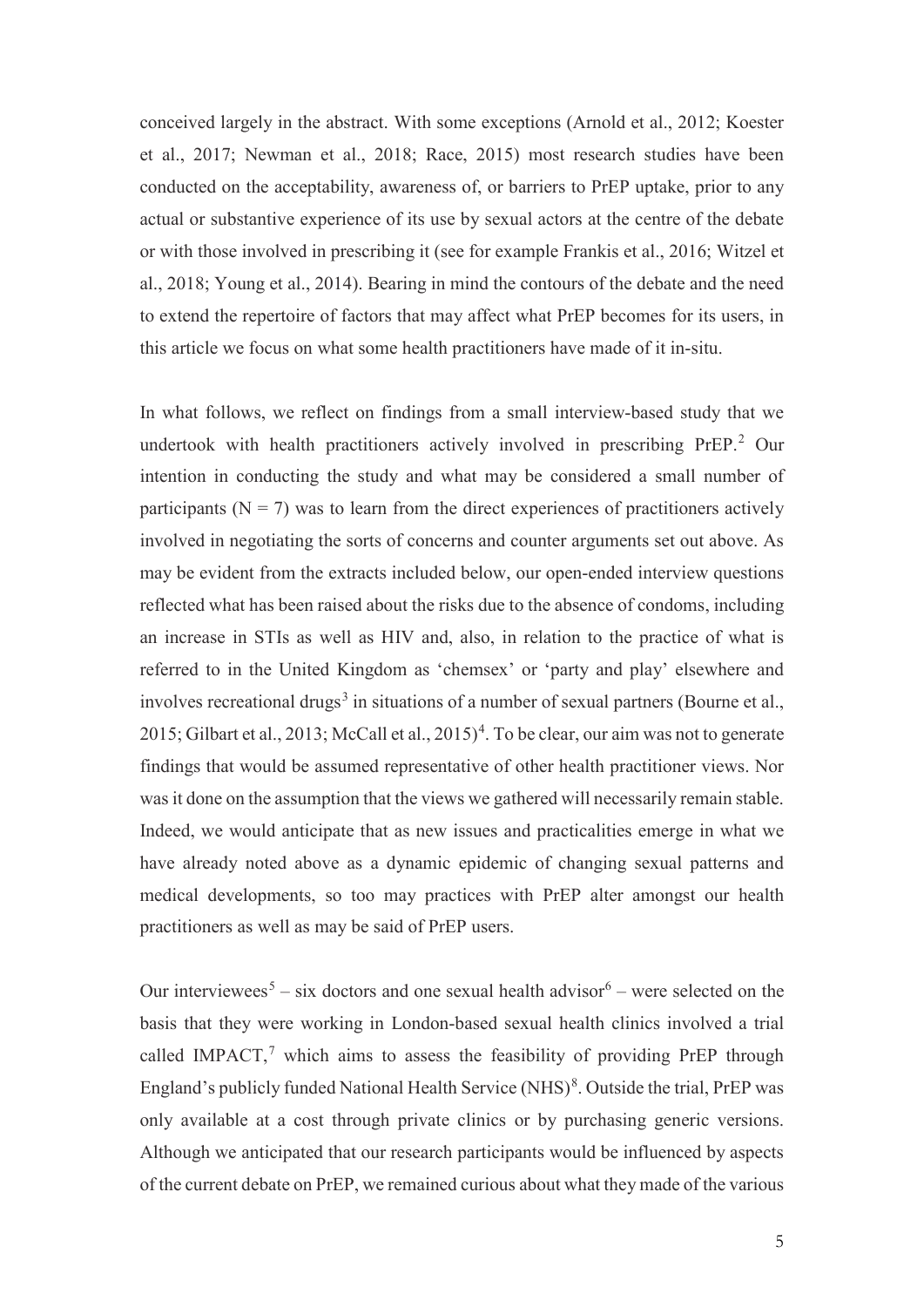conceived largely in the abstract. With some exceptions (Arnold et al., 2012; Koester et al., 2017; Newman et al., 2018; Race, 2015) most research studies have been conducted on the acceptability, awareness of, or barriers to PrEP uptake, prior to any actual or substantive experience of its use by sexual actors at the centre of the debate or with those involved in prescribing it (see for example Frankis et al., 2016; Witzel et al., 2018; Young et al., 2014). Bearing in mind the contours of the debate and the need to extend the repertoire of factors that may affect what PrEP becomes for its users, in this article we focus on what some health practitioners have made of it in-situ.

In what follows, we reflect on findings from a small interview-based study that we undertook with health practitioners actively involved in prescribing PrEP. [2](#page-21-1) Our intention in conducting the study and what may be considered a small number of participants ( $N = 7$ ) was to learn from the direct experiences of practitioners actively involved in negotiating the sorts of concerns and counter arguments set out above. As may be evident from the extracts included below, our open-ended interview questions reflected what has been raised about the risks due to the absence of condoms, including an increase in STIs as well as HIV and, also, in relation to the practice of what is referred to in the United Kingdom as 'chemsex' or 'party and play' elsewhere and involves recreational drugs<sup>[3](#page-21-2)</sup> in situations of a number of sexual partners (Bourne et al., 2015; Gilbart et al., 2013; McCall et al., 2015)<sup>[4](#page-21-3)</sup>. To be clear, our aim was not to generate findings that would be assumed representative of other health practitioner views. Nor was it done on the assumption that the views we gathered will necessarily remain stable. Indeed, we would anticipate that as new issues and practicalities emerge in what we have already noted above as a dynamic epidemic of changing sexual patterns and medical developments, so too may practices with PrEP alter amongst our health practitioners as well as may be said of PrEP users.

Our interviewees<sup>[5](#page-21-4)</sup> – six doctors and one sexual health advisor<sup>[6](#page-21-5)</sup> – were selected on the basis that they were working in London-based sexual health clinics involved a trial called IMPACT,<sup>[7](#page-21-6)</sup> which aims to assess the feasibility of providing PrEP through England's publicly funded National Health Service (NHS) $8$ . Outside the trial, PrEP was only available at a cost through private clinics or by purchasing generic versions. Although we anticipated that our research participants would be influenced by aspects of the current debate on PrEP, we remained curious about what they made of the various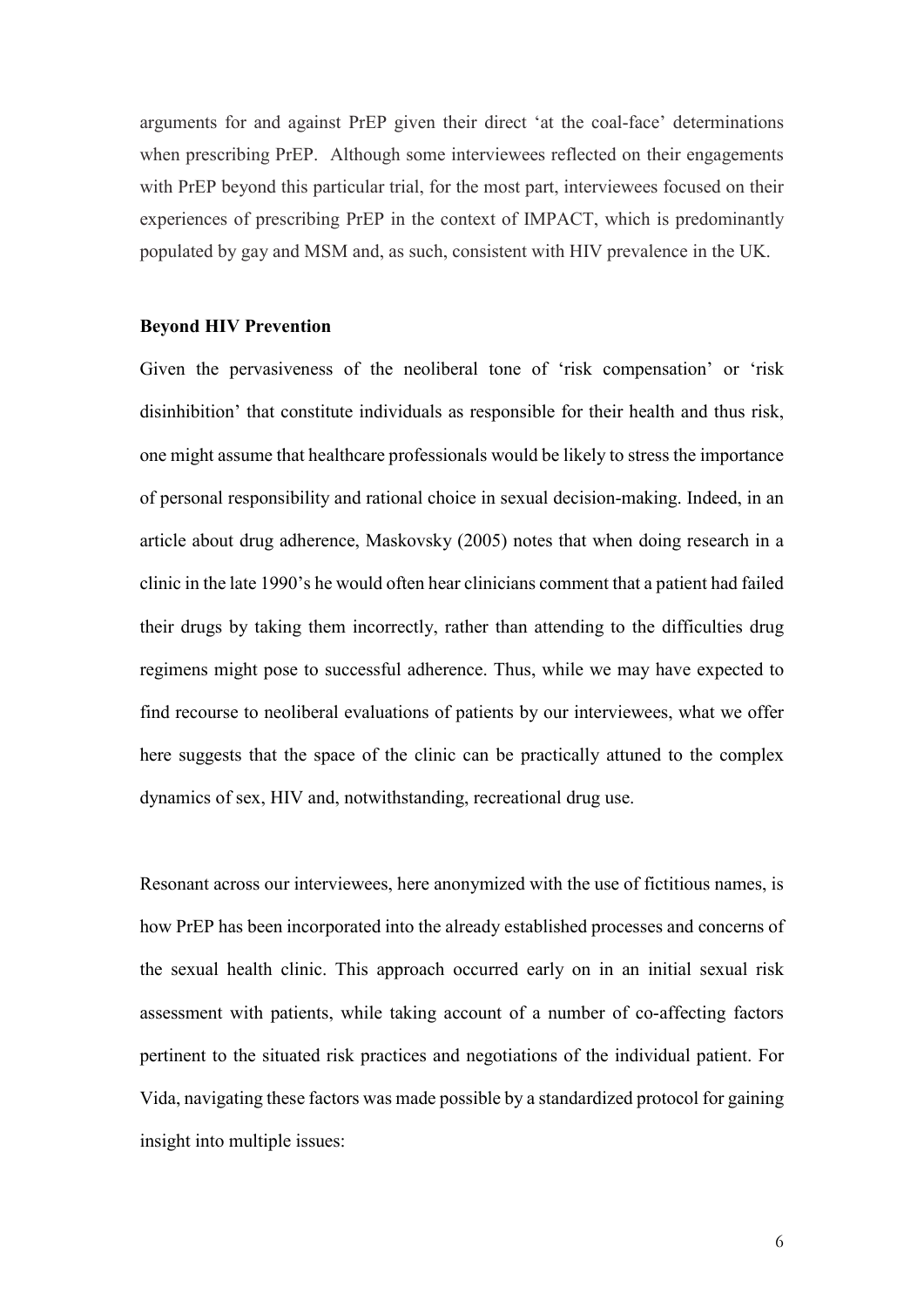arguments for and against PrEP given their direct 'at the coal-face' determinations when prescribing PrEP. Although some interviewees reflected on their engagements with PrEP beyond this particular trial, for the most part, interviewees focused on their experiences of prescribing PrEP in the context of IMPACT, which is predominantly populated by gay and MSM and, as such, consistent with HIV prevalence in the UK.

#### **Beyond HIV Prevention**

Given the pervasiveness of the neoliberal tone of 'risk compensation' or 'risk disinhibition' that constitute individuals as responsible for their health and thus risk, one might assume that healthcare professionals would be likely to stress the importance of personal responsibility and rational choice in sexual decision-making. Indeed, in an article about drug adherence, Maskovsky (2005) notes that when doing research in a clinic in the late 1990's he would often hear clinicians comment that a patient had failed their drugs by taking them incorrectly, rather than attending to the difficulties drug regimens might pose to successful adherence. Thus, while we may have expected to find recourse to neoliberal evaluations of patients by our interviewees, what we offer here suggests that the space of the clinic can be practically attuned to the complex dynamics of sex, HIV and, notwithstanding, recreational drug use.

Resonant across our interviewees, here anonymized with the use of fictitious names, is how PrEP has been incorporated into the already established processes and concerns of the sexual health clinic. This approach occurred early on in an initial sexual risk assessment with patients, while taking account of a number of co-affecting factors pertinent to the situated risk practices and negotiations of the individual patient. For Vida, navigating these factors was made possible by a standardized protocol for gaining insight into multiple issues: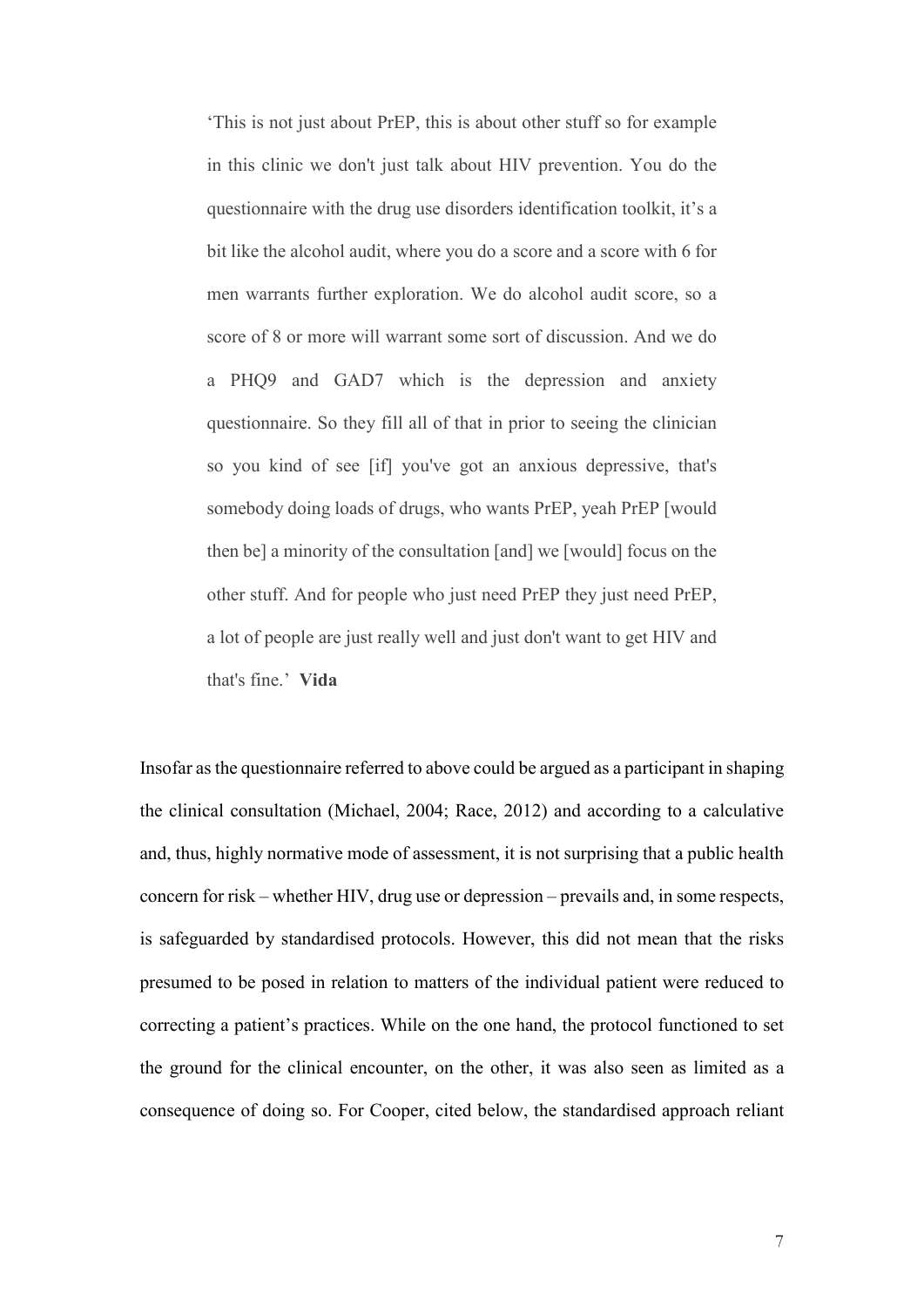'This is not just about PrEP, this is about other stuff so for example in this clinic we don't just talk about HIV prevention. You do the questionnaire with the drug use disorders identification toolkit, it's a bit like the alcohol audit, where you do a score and a score with 6 for men warrants further exploration. We do alcohol audit score, so a score of 8 or more will warrant some sort of discussion. And we do a PHQ9 and GAD7 which is the depression and anxiety questionnaire. So they fill all of that in prior to seeing the clinician so you kind of see [if] you've got an anxious depressive, that's somebody doing loads of drugs, who wants PrEP, yeah PrEP [would then be] a minority of the consultation [and] we [would] focus on the other stuff. And for people who just need PrEP they just need PrEP, a lot of people are just really well and just don't want to get HIV and that's fine.' **Vida**

Insofar as the questionnaire referred to above could be argued as a participant in shaping the clinical consultation (Michael, 2004; Race, 2012) and according to a calculative and, thus, highly normative mode of assessment, it is not surprising that a public health concern for risk – whether HIV, drug use or depression – prevails and, in some respects, is safeguarded by standardised protocols. However, this did not mean that the risks presumed to be posed in relation to matters of the individual patient were reduced to correcting a patient's practices. While on the one hand, the protocol functioned to set the ground for the clinical encounter, on the other, it was also seen as limited as a consequence of doing so. For Cooper, cited below, the standardised approach reliant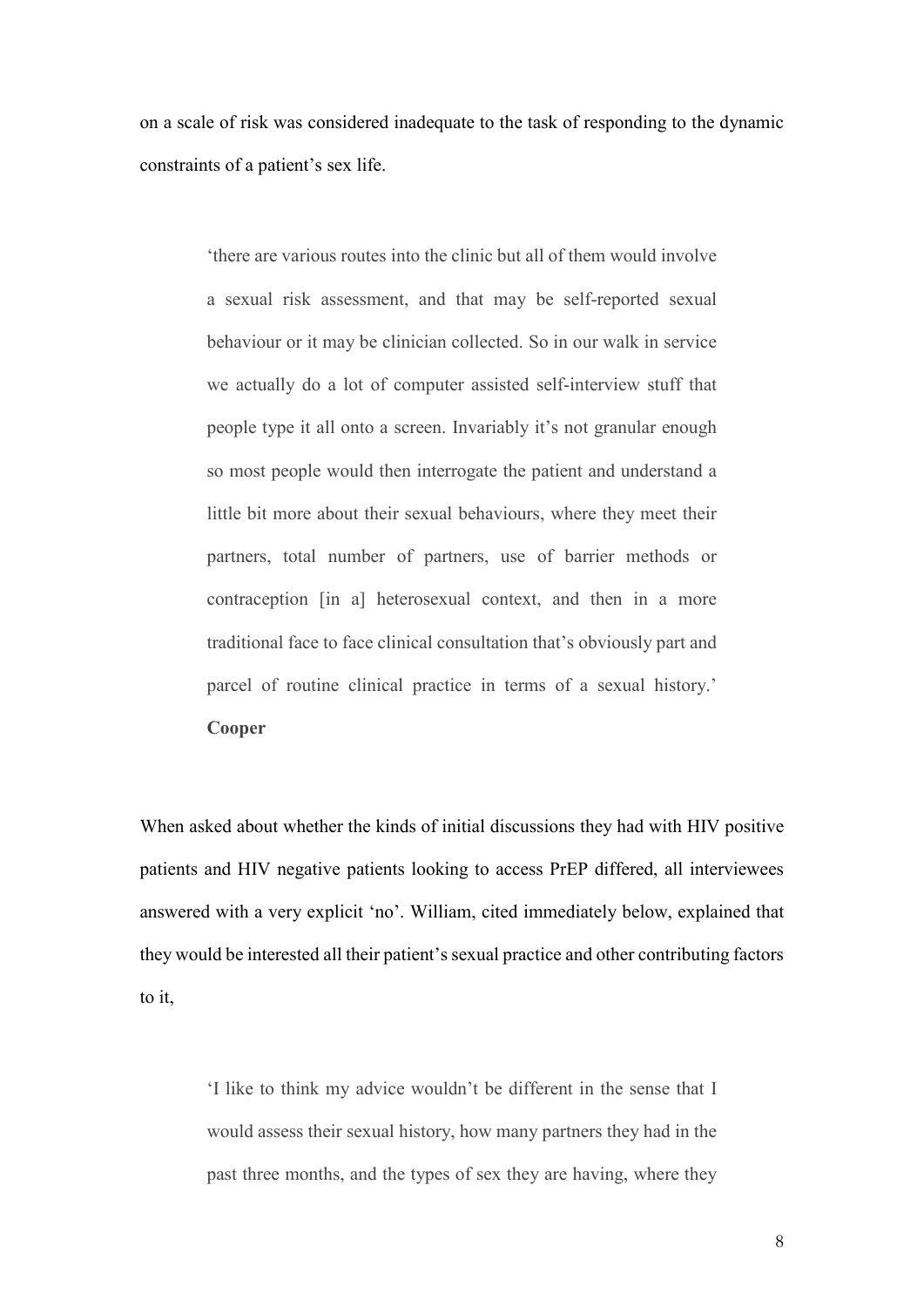on a scale of risk was considered inadequate to the task of responding to the dynamic constraints of a patient's sex life.

> 'there are various routes into the clinic but all of them would involve a sexual risk assessment, and that may be self-reported sexual behaviour or it may be clinician collected. So in our walk in service we actually do a lot of computer assisted self-interview stuff that people type it all onto a screen. Invariably it's not granular enough so most people would then interrogate the patient and understand a little bit more about their sexual behaviours, where they meet their partners, total number of partners, use of barrier methods or contraception [in a] heterosexual context, and then in a more traditional face to face clinical consultation that's obviously part and parcel of routine clinical practice in terms of a sexual history.' **Cooper**

When asked about whether the kinds of initial discussions they had with HIV positive patients and HIV negative patients looking to access PrEP differed, all interviewees answered with a very explicit 'no'. William, cited immediately below, explained that they would be interested all their patient's sexual practice and other contributing factors to it,

> 'I like to think my advice wouldn't be different in the sense that I would assess their sexual history, how many partners they had in the past three months, and the types of sex they are having, where they

> > 8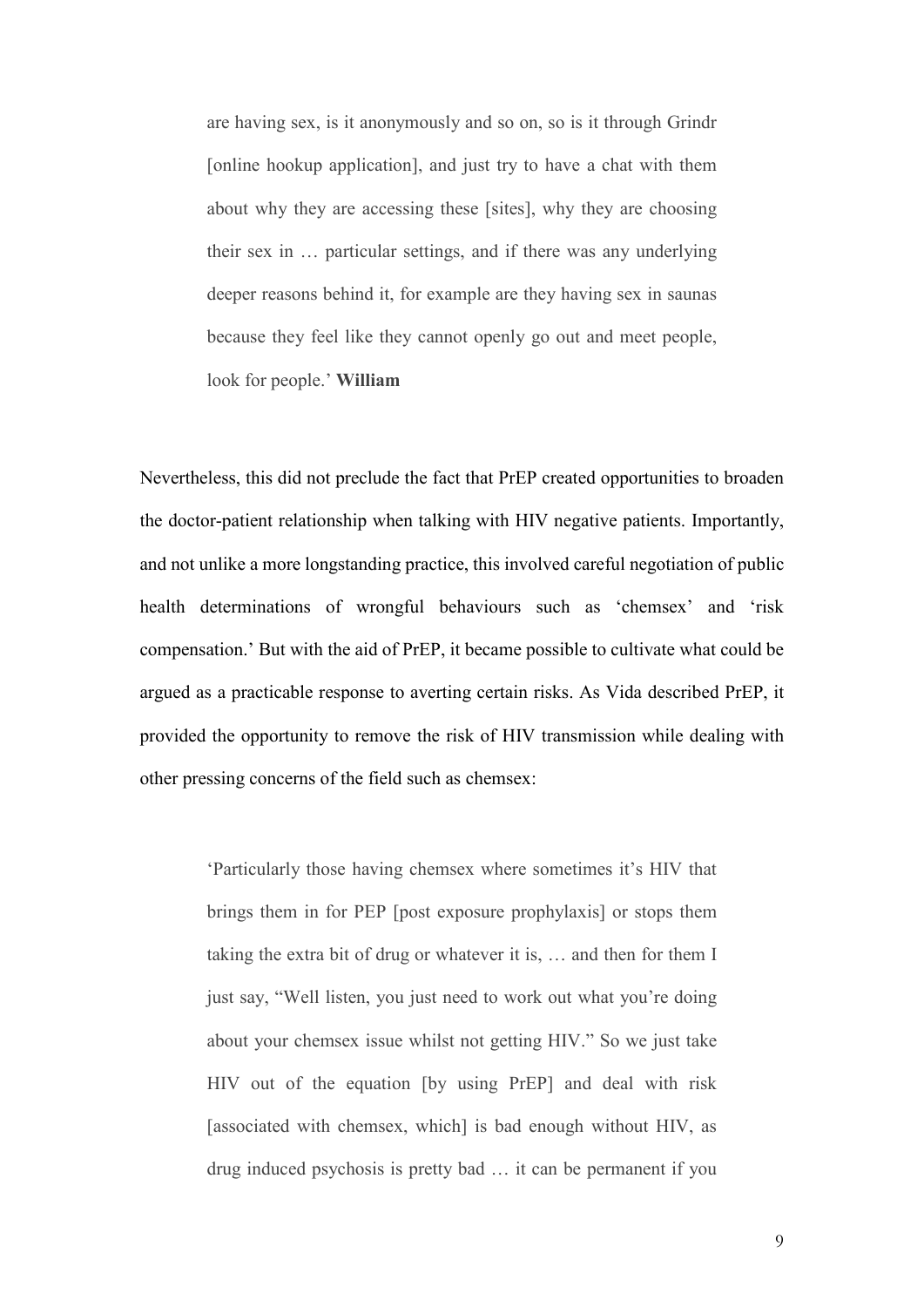are having sex, is it anonymously and so on, so is it through Grindr [online hookup application], and just try to have a chat with them about why they are accessing these [sites], why they are choosing their sex in … particular settings, and if there was any underlying deeper reasons behind it, for example are they having sex in saunas because they feel like they cannot openly go out and meet people, look for people.' **William**

Nevertheless, this did not preclude the fact that PrEP created opportunities to broaden the doctor-patient relationship when talking with HIV negative patients. Importantly, and not unlike a more longstanding practice, this involved careful negotiation of public health determinations of wrongful behaviours such as 'chemsex' and 'risk compensation.' But with the aid of PrEP, it became possible to cultivate what could be argued as a practicable response to averting certain risks. As Vida described PrEP, it provided the opportunity to remove the risk of HIV transmission while dealing with other pressing concerns of the field such as chemsex:

> 'Particularly those having chemsex where sometimes it's HIV that brings them in for PEP [post exposure prophylaxis] or stops them taking the extra bit of drug or whatever it is, … and then for them I just say, "Well listen, you just need to work out what you're doing about your chemsex issue whilst not getting HIV." So we just take HIV out of the equation [by using PrEP] and deal with risk [associated with chemsex, which] is bad enough without HIV, as drug induced psychosis is pretty bad … it can be permanent if you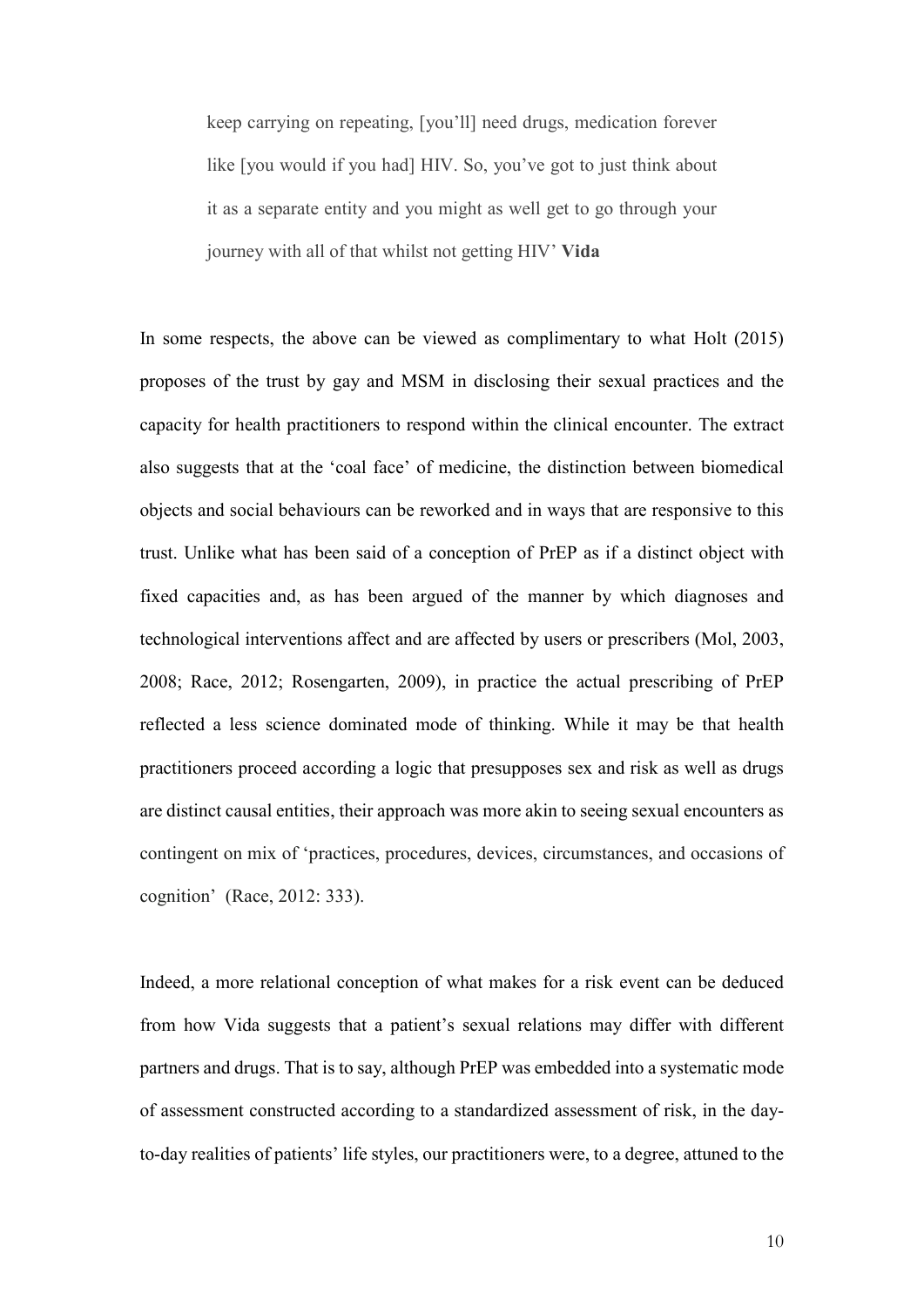keep carrying on repeating, [you'll] need drugs, medication forever like [you would if you had] HIV. So, you've got to just think about it as a separate entity and you might as well get to go through your journey with all of that whilst not getting HIV' **Vida**

In some respects, the above can be viewed as complimentary to what Holt (2015) proposes of the trust by gay and MSM in disclosing their sexual practices and the capacity for health practitioners to respond within the clinical encounter. The extract also suggests that at the 'coal face' of medicine, the distinction between biomedical objects and social behaviours can be reworked and in ways that are responsive to this trust. Unlike what has been said of a conception of PrEP as if a distinct object with fixed capacities and, as has been argued of the manner by which diagnoses and technological interventions affect and are affected by users or prescribers (Mol, 2003, 2008; Race, 2012; Rosengarten, 2009), in practice the actual prescribing of PrEP reflected a less science dominated mode of thinking. While it may be that health practitioners proceed according a logic that presupposes sex and risk as well as drugs are distinct causal entities, their approach was more akin to seeing sexual encounters as contingent on mix of 'practices, procedures, devices, circumstances, and occasions of cognition' (Race, 2012: 333).

Indeed, a more relational conception of what makes for a risk event can be deduced from how Vida suggests that a patient's sexual relations may differ with different partners and drugs. That is to say, although PrEP was embedded into a systematic mode of assessment constructed according to a standardized assessment of risk, in the dayto-day realities of patients' life styles, our practitioners were, to a degree, attuned to the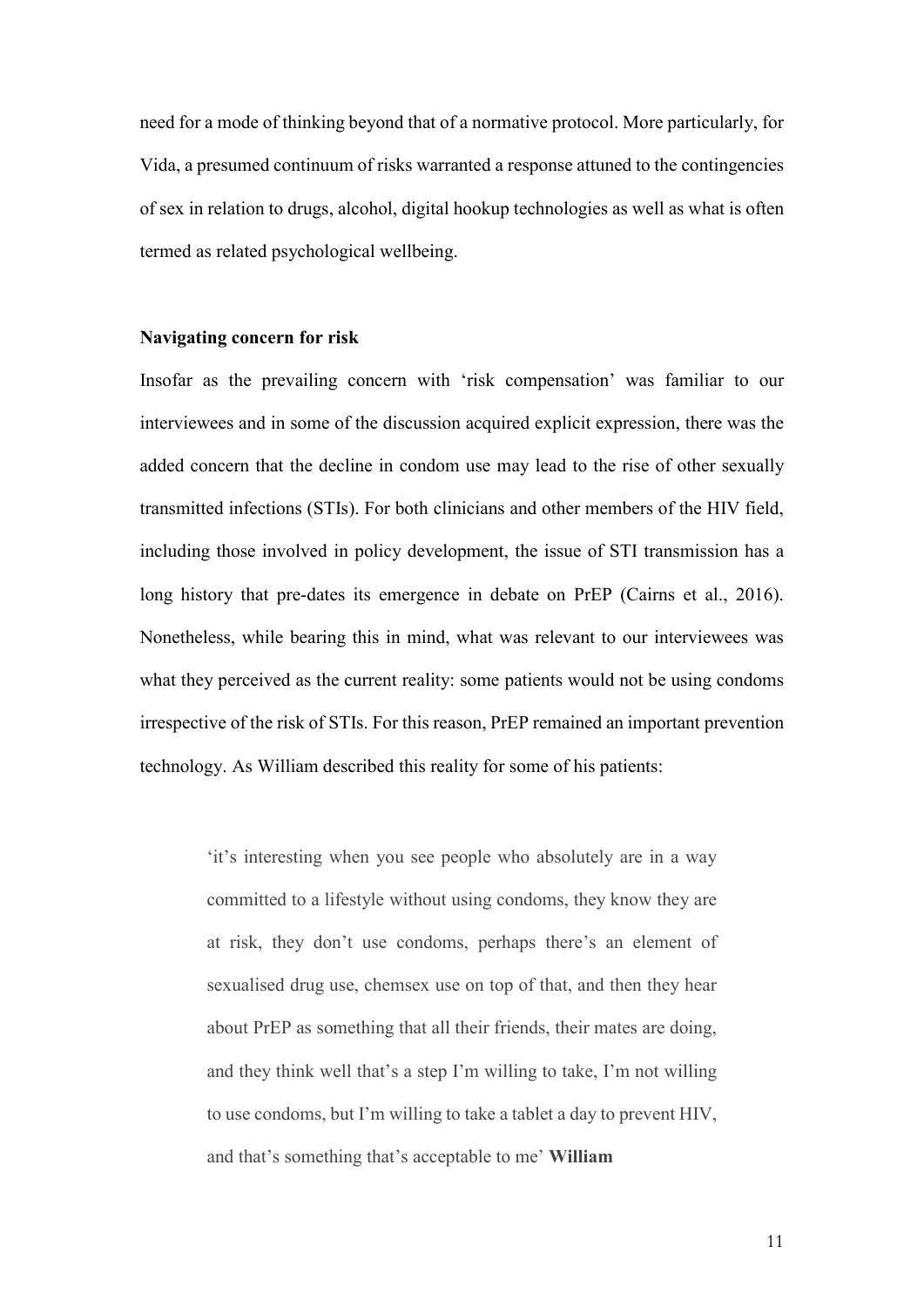need for a mode of thinking beyond that of a normative protocol. More particularly, for Vida, a presumed continuum of risks warranted a response attuned to the contingencies of sex in relation to drugs, alcohol, digital hookup technologies as well as what is often termed as related psychological wellbeing.

#### **Navigating concern for risk**

Insofar as the prevailing concern with 'risk compensation' was familiar to our interviewees and in some of the discussion acquired explicit expression, there was the added concern that the decline in condom use may lead to the rise of other sexually transmitted infections (STIs). For both clinicians and other members of the HIV field, including those involved in policy development, the issue of STI transmission has a long history that pre-dates its emergence in debate on PrEP (Cairns et al., 2016). Nonetheless, while bearing this in mind, what was relevant to our interviewees was what they perceived as the current reality: some patients would not be using condoms irrespective of the risk of STIs. For this reason, PrEP remained an important prevention technology. As William described this reality for some of his patients:

> 'it's interesting when you see people who absolutely are in a way committed to a lifestyle without using condoms, they know they are at risk, they don't use condoms, perhaps there's an element of sexualised drug use, chemsex use on top of that, and then they hear about PrEP as something that all their friends, their mates are doing, and they think well that's a step I'm willing to take, I'm not willing to use condoms, but I'm willing to take a tablet a day to prevent HIV, and that's something that's acceptable to me' **William**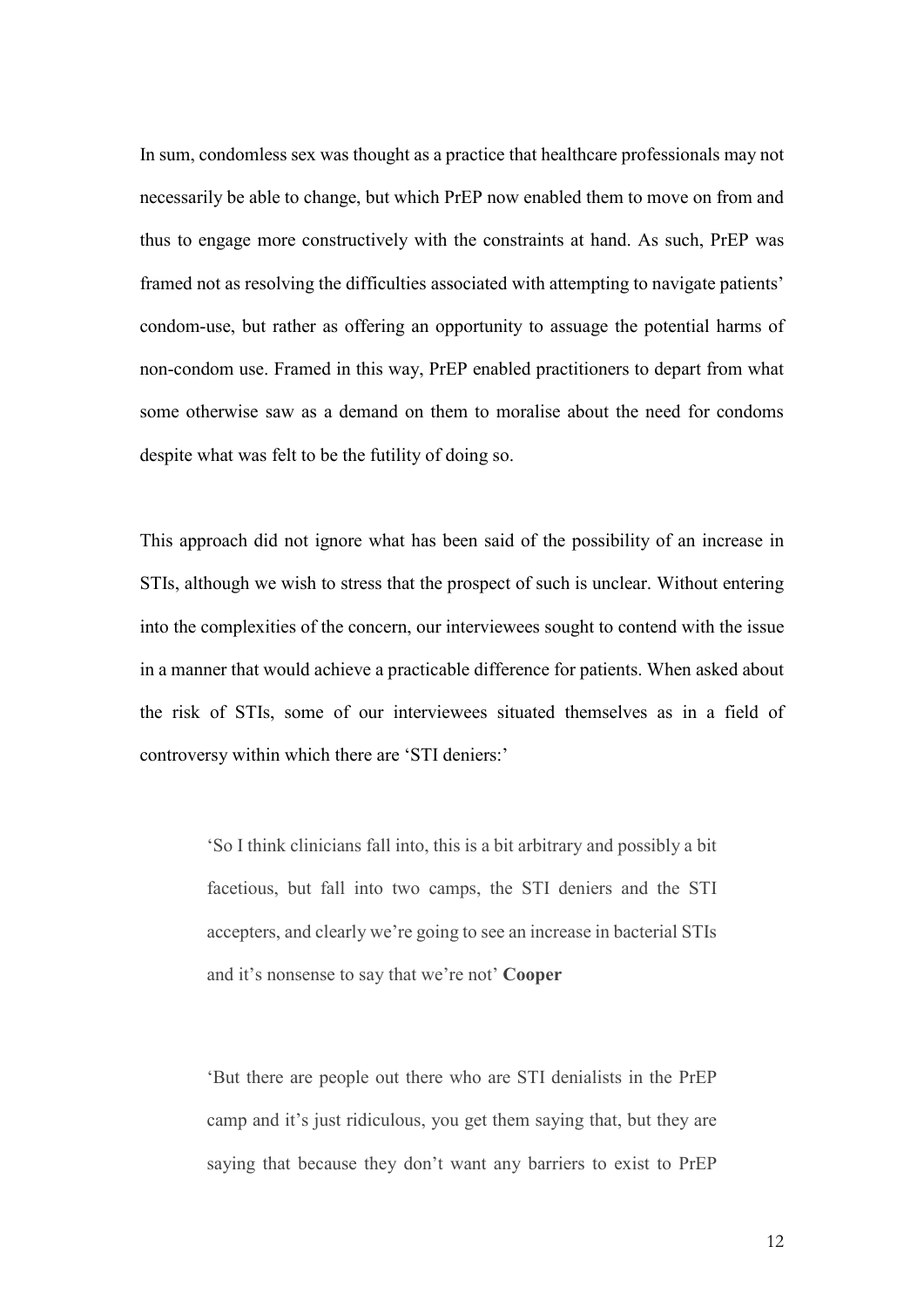In sum, condomless sex was thought as a practice that healthcare professionals may not necessarily be able to change, but which PrEP now enabled them to move on from and thus to engage more constructively with the constraints at hand. As such, PrEP was framed not as resolving the difficulties associated with attempting to navigate patients' condom-use, but rather as offering an opportunity to assuage the potential harms of non-condom use. Framed in this way, PrEP enabled practitioners to depart from what some otherwise saw as a demand on them to moralise about the need for condoms despite what was felt to be the futility of doing so.

This approach did not ignore what has been said of the possibility of an increase in STIs, although we wish to stress that the prospect of such is unclear. Without entering into the complexities of the concern, our interviewees sought to contend with the issue in a manner that would achieve a practicable difference for patients. When asked about the risk of STIs, some of our interviewees situated themselves as in a field of controversy within which there are 'STI deniers:'

> 'So I think clinicians fall into, this is a bit arbitrary and possibly a bit facetious, but fall into two camps, the STI deniers and the STI accepters, and clearly we're going to see an increase in bacterial STIs and it's nonsense to say that we're not' **Cooper**

> 'But there are people out there who are STI denialists in the PrEP camp and it's just ridiculous, you get them saying that, but they are saying that because they don't want any barriers to exist to PrEP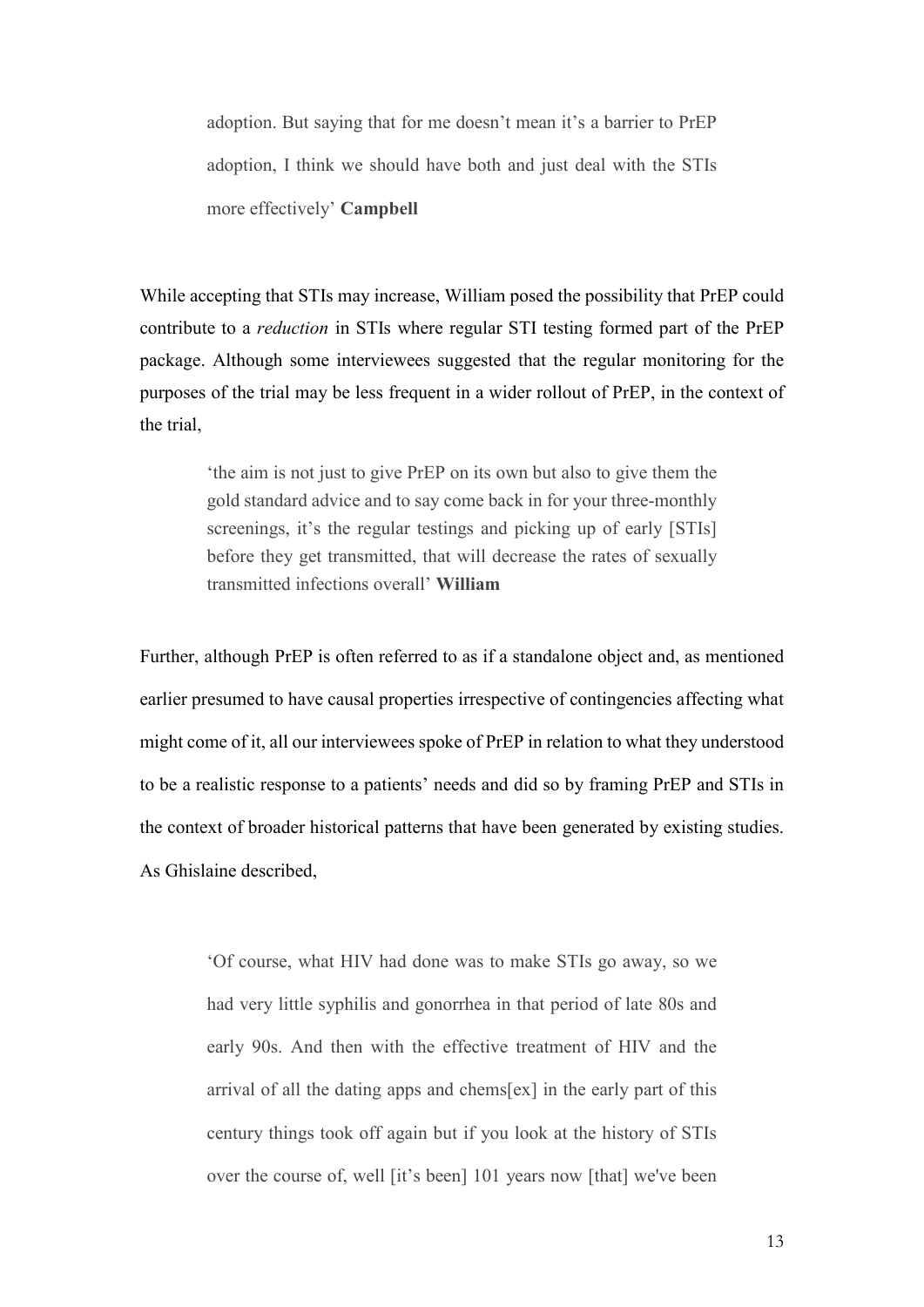adoption. But saying that for me doesn't mean it's a barrier to PrEP adoption, I think we should have both and just deal with the STIs more effectively' **Campbell**

While accepting that STIs may increase, William posed the possibility that PrEP could contribute to a *reduction* in STIs where regular STI testing formed part of the PrEP package. Although some interviewees suggested that the regular monitoring for the purposes of the trial may be less frequent in a wider rollout of PrEP, in the context of the trial,

> 'the aim is not just to give PrEP on its own but also to give them the gold standard advice and to say come back in for your three-monthly screenings, it's the regular testings and picking up of early [STIs] before they get transmitted, that will decrease the rates of sexually transmitted infections overall' **William**

Further, although PrEP is often referred to as if a standalone object and, as mentioned earlier presumed to have causal properties irrespective of contingencies affecting what might come of it, all our interviewees spoke of PrEP in relation to what they understood to be a realistic response to a patients' needs and did so by framing PrEP and STIs in the context of broader historical patterns that have been generated by existing studies. As Ghislaine described,

> 'Of course, what HIV had done was to make STIs go away, so we had very little syphilis and gonorrhea in that period of late 80s and early 90s. And then with the effective treatment of HIV and the arrival of all the dating apps and chems[ex] in the early part of this century things took off again but if you look at the history of STIs over the course of, well [it's been] 101 years now [that] we've been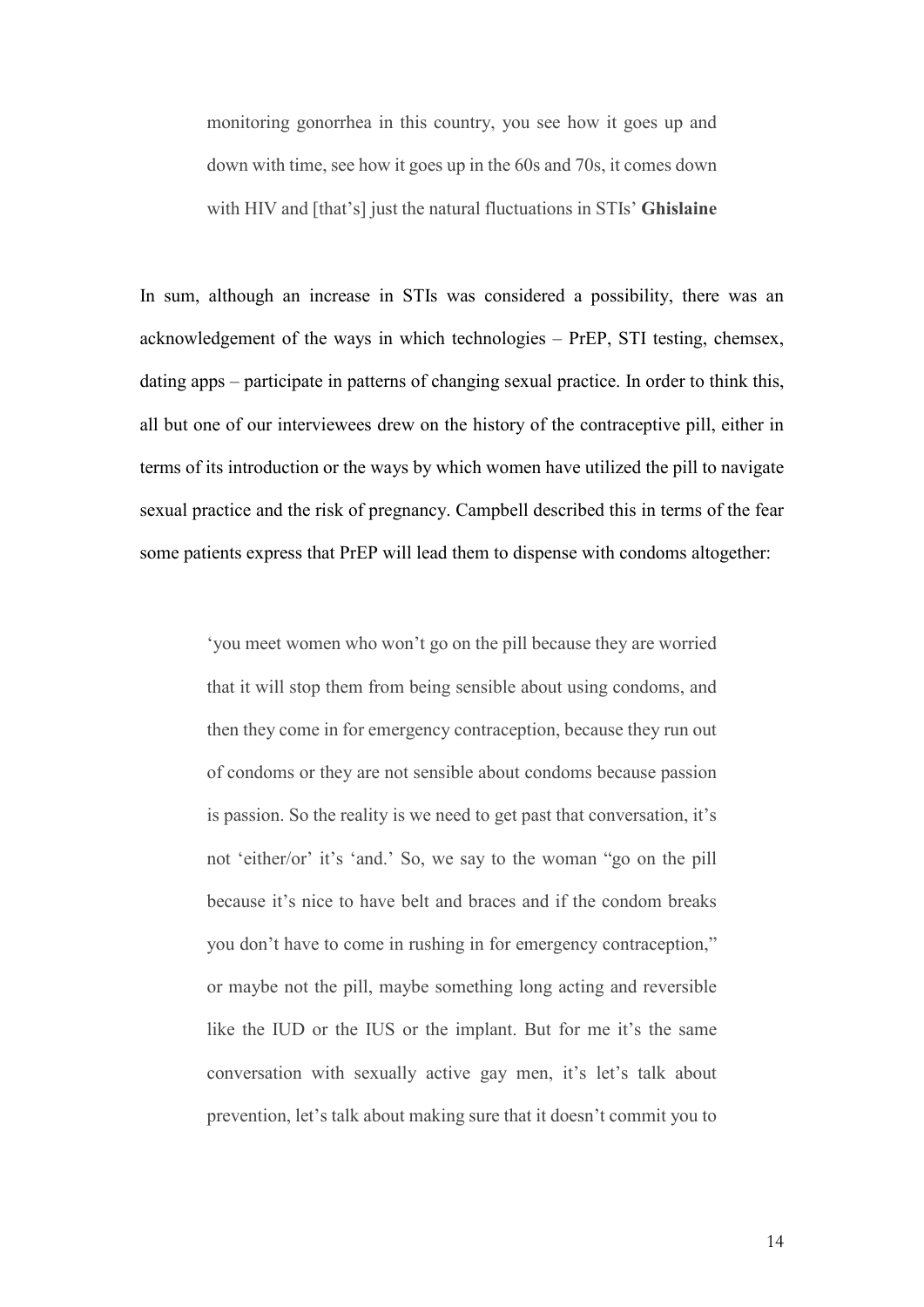monitoring gonorrhea in this country, you see how it goes up and down with time, see how it goes up in the 60s and 70s, it comes down with HIV and [that's] just the natural fluctuations in STIs' **Ghislaine**

In sum, although an increase in STIs was considered a possibility, there was an acknowledgement of the ways in which technologies – PrEP, STI testing, chemsex, dating apps – participate in patterns of changing sexual practice. In order to think this, all but one of our interviewees drew on the history of the contraceptive pill, either in terms of its introduction or the ways by which women have utilized the pill to navigate sexual practice and the risk of pregnancy. Campbell described this in terms of the fear some patients express that PrEP will lead them to dispense with condoms altogether:

> 'you meet women who won't go on the pill because they are worried that it will stop them from being sensible about using condoms, and then they come in for emergency contraception, because they run out of condoms or they are not sensible about condoms because passion is passion. So the reality is we need to get past that conversation, it's not 'either/or' it's 'and.' So, we say to the woman "go on the pill because it's nice to have belt and braces and if the condom breaks you don't have to come in rushing in for emergency contraception," or maybe not the pill, maybe something long acting and reversible like the IUD or the IUS or the implant. But for me it's the same conversation with sexually active gay men, it's let's talk about prevention, let's talk about making sure that it doesn't commit you to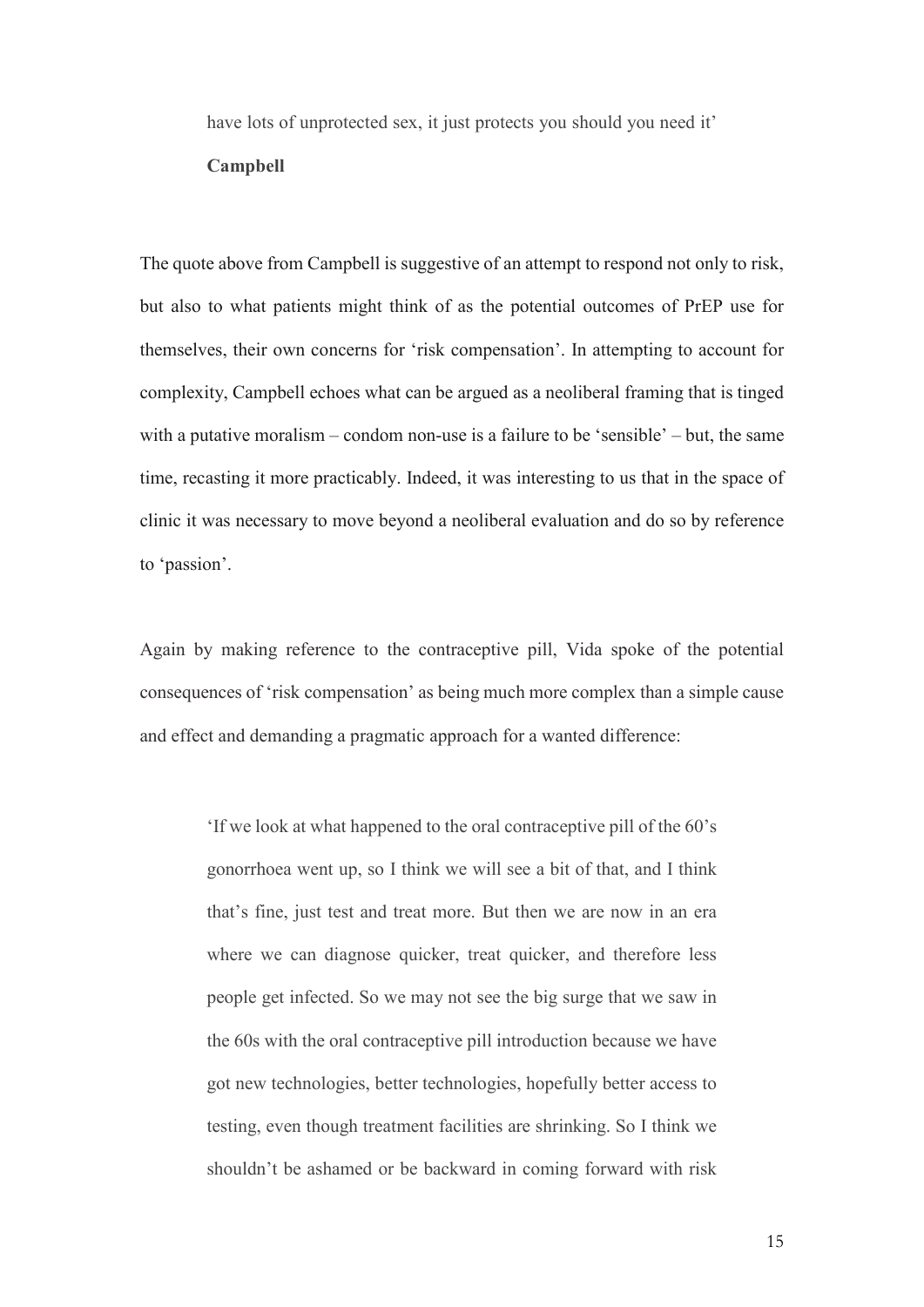have lots of unprotected sex, it just protects you should you need it'

#### **Campbell**

The quote above from Campbell is suggestive of an attempt to respond not only to risk, but also to what patients might think of as the potential outcomes of PrEP use for themselves, their own concerns for 'risk compensation'. In attempting to account for complexity, Campbell echoes what can be argued as a neoliberal framing that is tinged with a putative moralism – condom non-use is a failure to be 'sensible' – but, the same time, recasting it more practicably. Indeed, it was interesting to us that in the space of clinic it was necessary to move beyond a neoliberal evaluation and do so by reference to 'passion'.

Again by making reference to the contraceptive pill, Vida spoke of the potential consequences of 'risk compensation' as being much more complex than a simple cause and effect and demanding a pragmatic approach for a wanted difference:

> 'If we look at what happened to the oral contraceptive pill of the 60's gonorrhoea went up, so I think we will see a bit of that, and I think that's fine, just test and treat more. But then we are now in an era where we can diagnose quicker, treat quicker, and therefore less people get infected. So we may not see the big surge that we saw in the 60s with the oral contraceptive pill introduction because we have got new technologies, better technologies, hopefully better access to testing, even though treatment facilities are shrinking. So I think we shouldn't be ashamed or be backward in coming forward with risk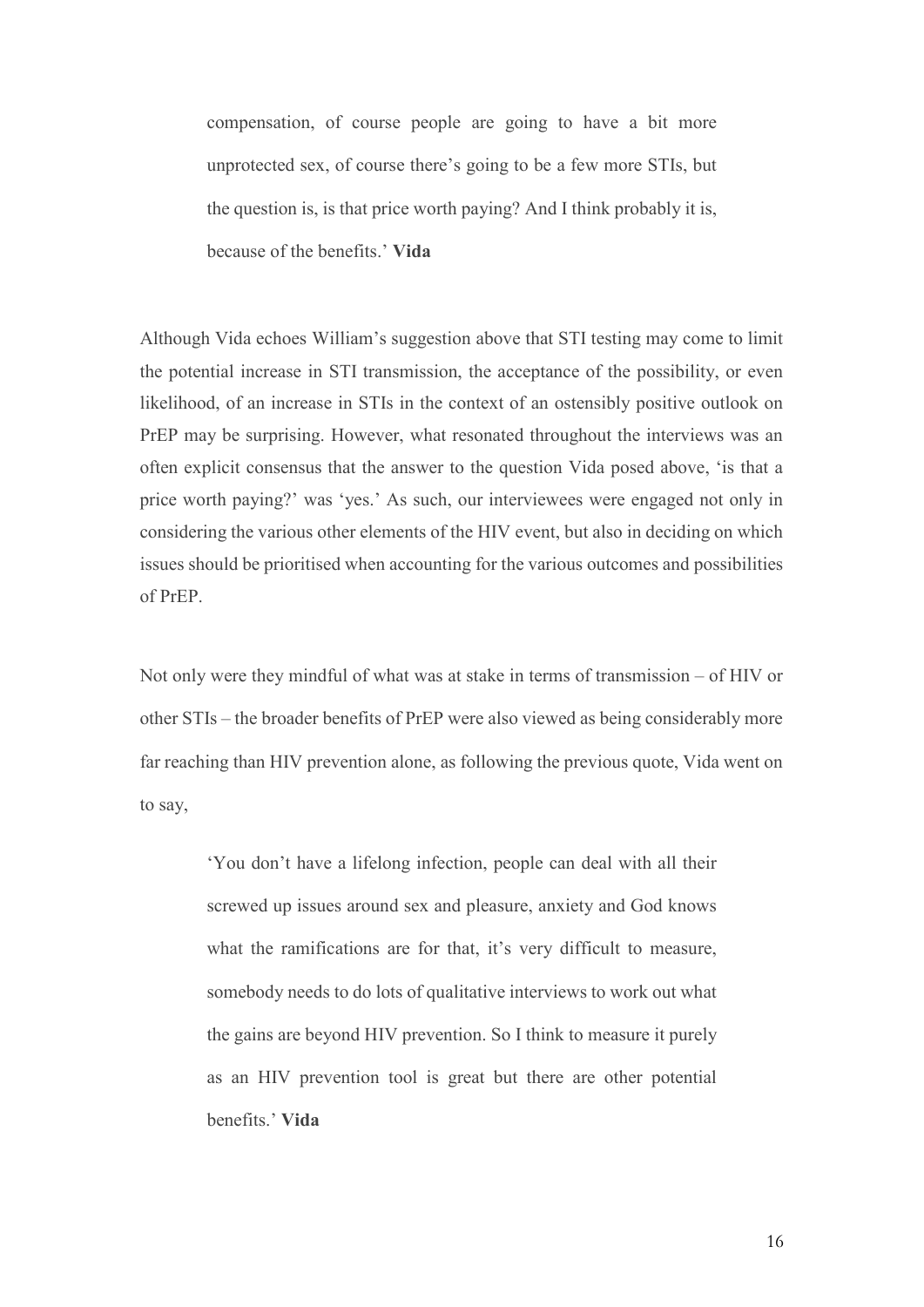compensation, of course people are going to have a bit more unprotected sex, of course there's going to be a few more STIs, but the question is, is that price worth paying? And I think probably it is, because of the benefits.' **Vida**

Although Vida echoes William's suggestion above that STI testing may come to limit the potential increase in STI transmission, the acceptance of the possibility, or even likelihood, of an increase in STIs in the context of an ostensibly positive outlook on PrEP may be surprising. However, what resonated throughout the interviews was an often explicit consensus that the answer to the question Vida posed above, 'is that a price worth paying?' was 'yes.' As such, our interviewees were engaged not only in considering the various other elements of the HIV event, but also in deciding on which issues should be prioritised when accounting for the various outcomes and possibilities of PrEP.

Not only were they mindful of what was at stake in terms of transmission – of HIV or other STIs – the broader benefits of PrEP were also viewed as being considerably more far reaching than HIV prevention alone, as following the previous quote, Vida went on to say,

> 'You don't have a lifelong infection, people can deal with all their screwed up issues around sex and pleasure, anxiety and God knows what the ramifications are for that, it's very difficult to measure, somebody needs to do lots of qualitative interviews to work out what the gains are beyond HIV prevention. So I think to measure it purely as an HIV prevention tool is great but there are other potential benefits.' **Vida**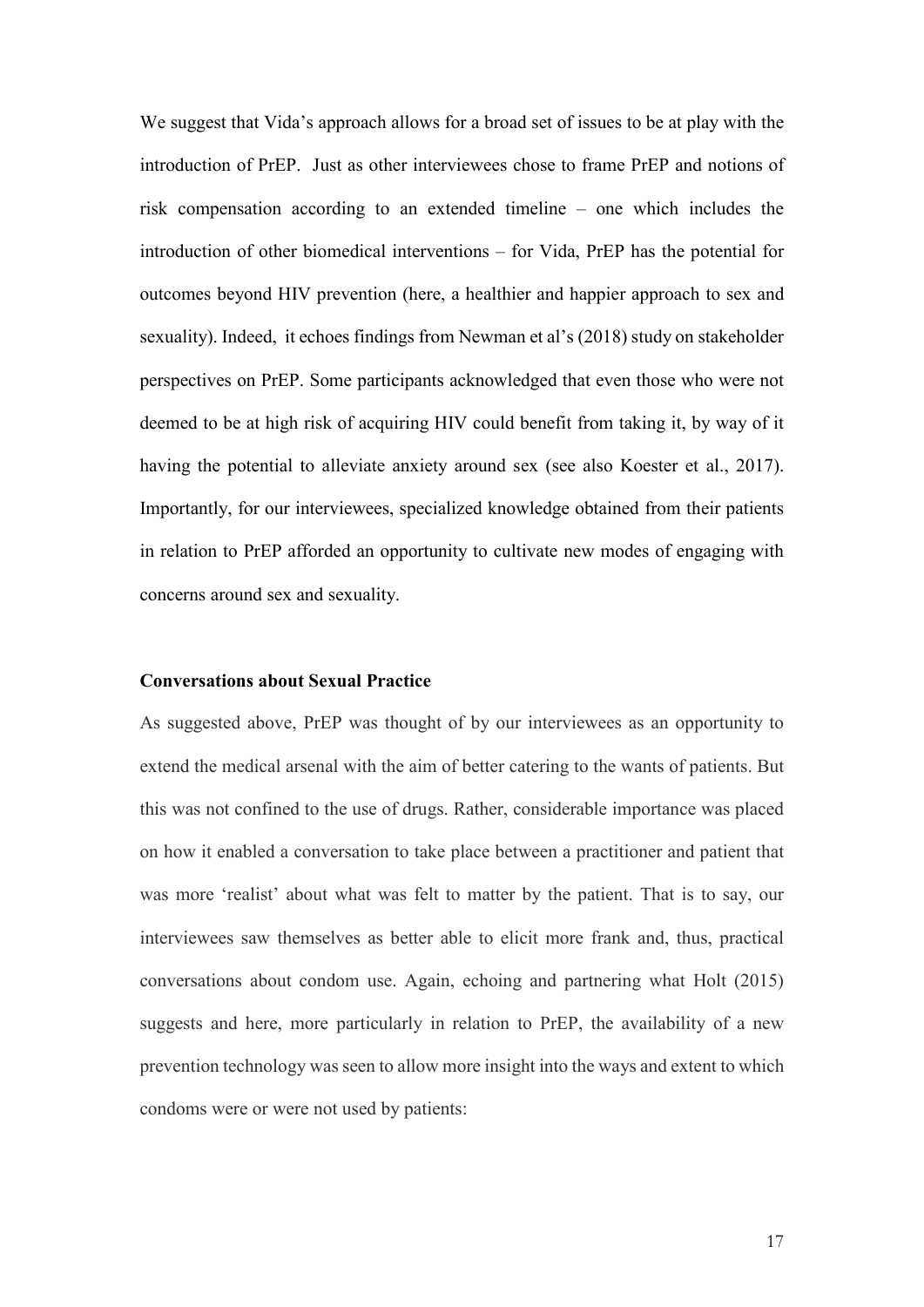We suggest that Vida's approach allows for a broad set of issues to be at play with the introduction of PrEP. Just as other interviewees chose to frame PrEP and notions of risk compensation according to an extended timeline – one which includes the introduction of other biomedical interventions – for Vida, PrEP has the potential for outcomes beyond HIV prevention (here, a healthier and happier approach to sex and sexuality). Indeed, it echoes findings from Newman et al's (2018) study on stakeholder perspectives on PrEP. Some participants acknowledged that even those who were not deemed to be at high risk of acquiring HIV could benefit from taking it, by way of it having the potential to alleviate anxiety around sex (see also Koester et al., 2017). Importantly, for our interviewees, specialized knowledge obtained from their patients in relation to PrEP afforded an opportunity to cultivate new modes of engaging with concerns around sex and sexuality.

#### **Conversations about Sexual Practice**

As suggested above, PrEP was thought of by our interviewees as an opportunity to extend the medical arsenal with the aim of better catering to the wants of patients. But this was not confined to the use of drugs. Rather, considerable importance was placed on how it enabled a conversation to take place between a practitioner and patient that was more 'realist' about what was felt to matter by the patient. That is to say, our interviewees saw themselves as better able to elicit more frank and, thus, practical conversations about condom use. Again, echoing and partnering what Holt (2015) suggests and here, more particularly in relation to PrEP, the availability of a new prevention technology was seen to allow more insight into the ways and extent to which condoms were or were not used by patients: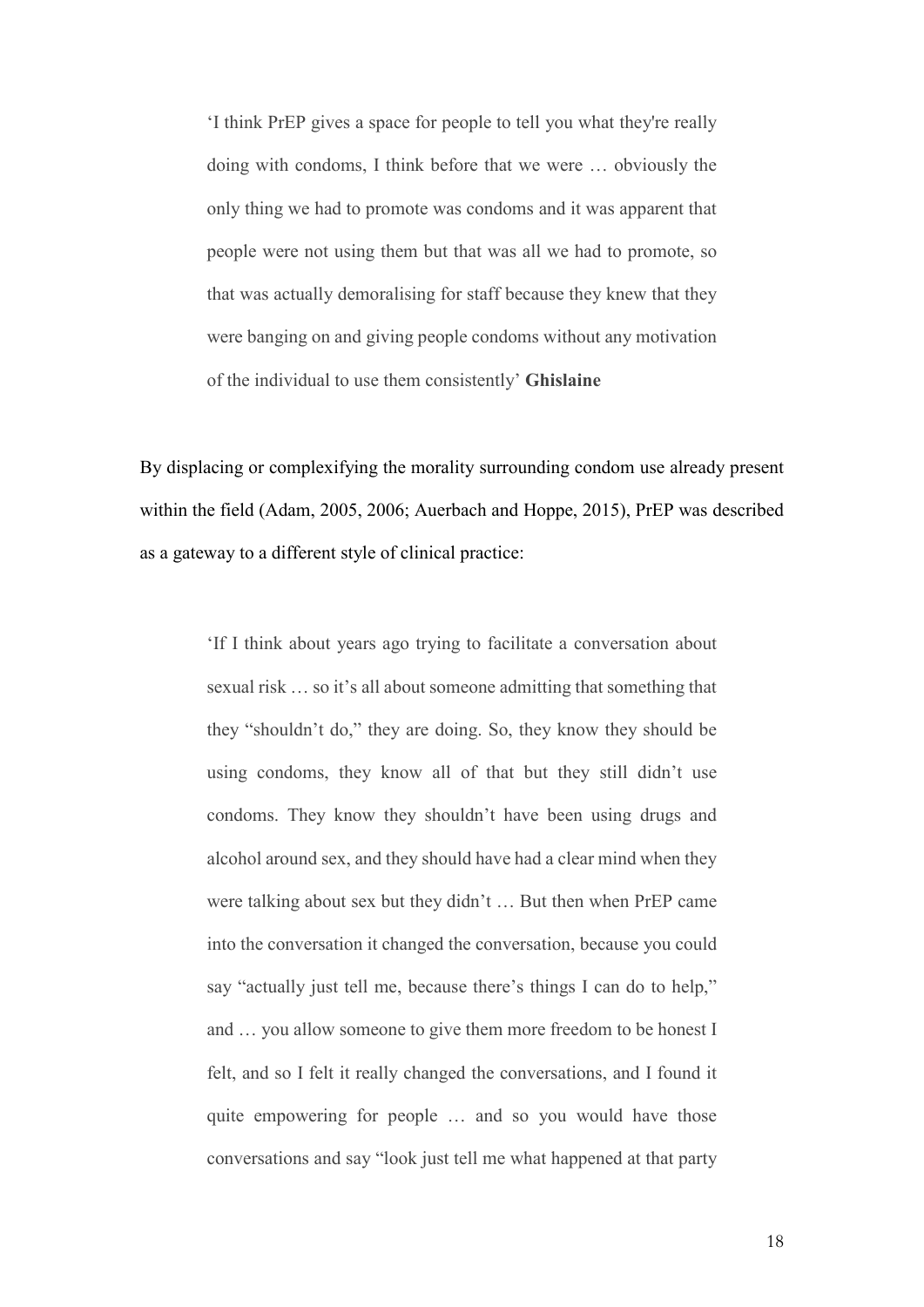'I think PrEP gives a space for people to tell you what they're really doing with condoms, I think before that we were … obviously the only thing we had to promote was condoms and it was apparent that people were not using them but that was all we had to promote, so that was actually demoralising for staff because they knew that they were banging on and giving people condoms without any motivation of the individual to use them consistently' **Ghislaine**

By displacing or complexifying the morality surrounding condom use already present within the field (Adam, 2005, 2006; Auerbach and Hoppe, 2015), PrEP was described as a gateway to a different style of clinical practice:

> 'If I think about years ago trying to facilitate a conversation about sexual risk … so it's all about someone admitting that something that they "shouldn't do," they are doing. So, they know they should be using condoms, they know all of that but they still didn't use condoms. They know they shouldn't have been using drugs and alcohol around sex, and they should have had a clear mind when they were talking about sex but they didn't … But then when PrEP came into the conversation it changed the conversation, because you could say "actually just tell me, because there's things I can do to help," and … you allow someone to give them more freedom to be honest I felt, and so I felt it really changed the conversations, and I found it quite empowering for people … and so you would have those conversations and say "look just tell me what happened at that party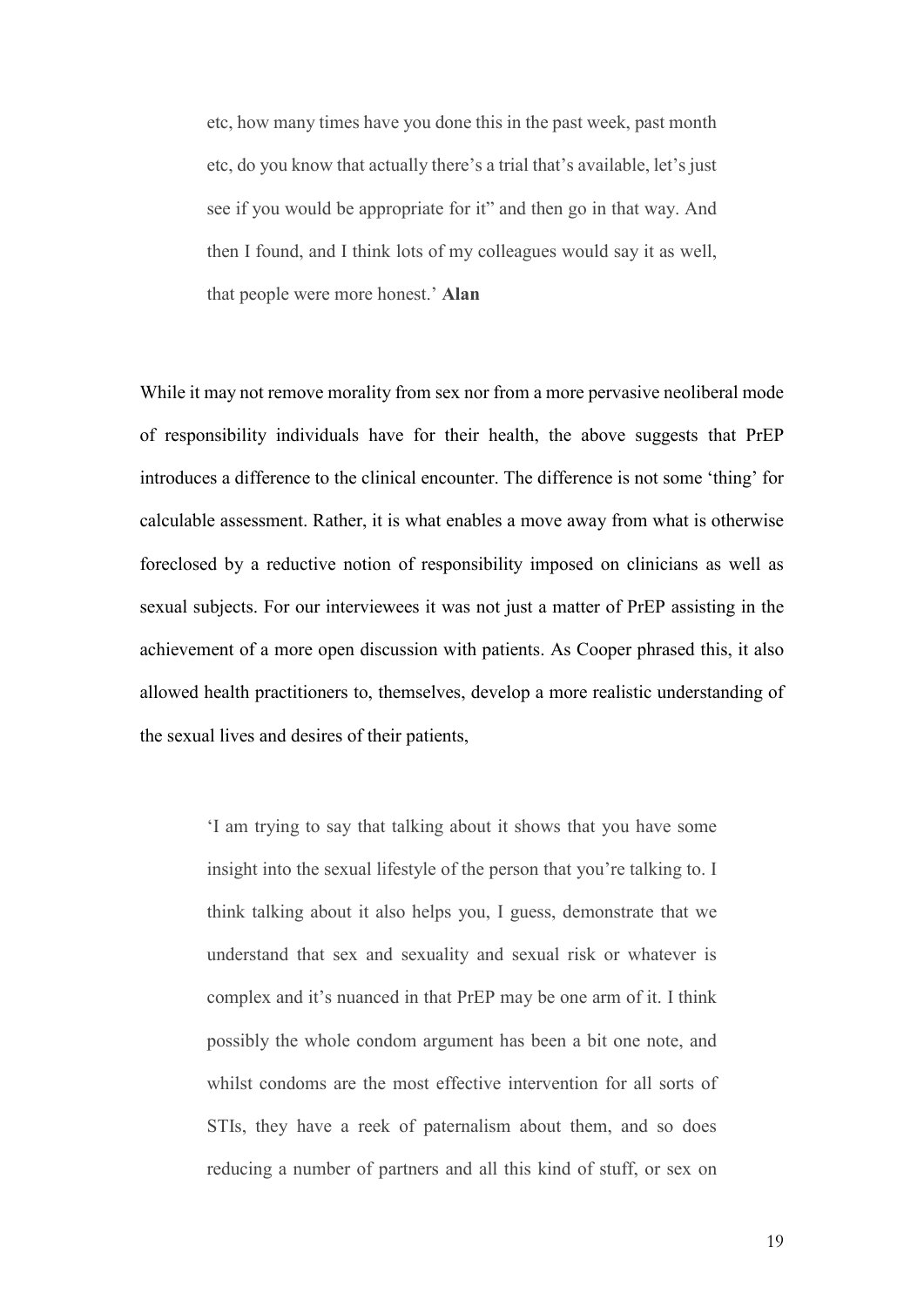etc, how many times have you done this in the past week, past month etc, do you know that actually there's a trial that's available, let's just see if you would be appropriate for it" and then go in that way. And then I found, and I think lots of my colleagues would say it as well, that people were more honest.' **Alan**

While it may not remove morality from sex nor from a more pervasive neoliberal mode of responsibility individuals have for their health, the above suggests that PrEP introduces a difference to the clinical encounter. The difference is not some 'thing' for calculable assessment. Rather, it is what enables a move away from what is otherwise foreclosed by a reductive notion of responsibility imposed on clinicians as well as sexual subjects. For our interviewees it was not just a matter of PrEP assisting in the achievement of a more open discussion with patients. As Cooper phrased this, it also allowed health practitioners to, themselves, develop a more realistic understanding of the sexual lives and desires of their patients,

> 'I am trying to say that talking about it shows that you have some insight into the sexual lifestyle of the person that you're talking to. I think talking about it also helps you, I guess, demonstrate that we understand that sex and sexuality and sexual risk or whatever is complex and it's nuanced in that PrEP may be one arm of it. I think possibly the whole condom argument has been a bit one note, and whilst condoms are the most effective intervention for all sorts of STIs, they have a reek of paternalism about them, and so does reducing a number of partners and all this kind of stuff, or sex on

> > 19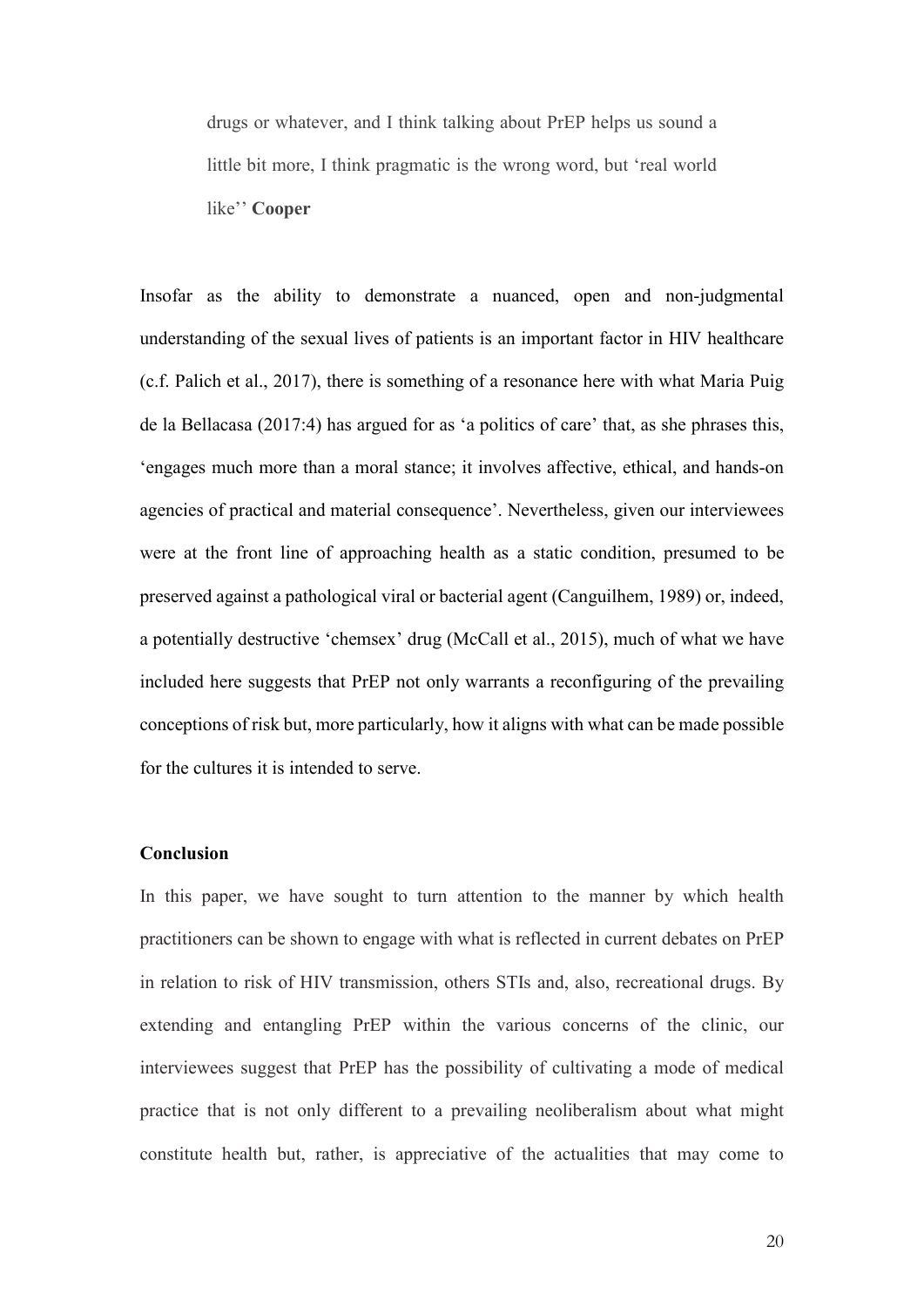drugs or whatever, and I think talking about PrEP helps us sound a little bit more, I think pragmatic is the wrong word, but 'real world like'' **Cooper**

Insofar as the ability to demonstrate a nuanced, open and non-judgmental understanding of the sexual lives of patients is an important factor in HIV healthcare (c.f. Palich et al., 2017), there is something of a resonance here with what Maria Puig de la Bellacasa (2017:4) has argued for as 'a politics of care' that, as she phrases this, 'engages much more than a moral stance; it involves affective, ethical, and hands-on agencies of practical and material consequence'. Nevertheless, given our interviewees were at the front line of approaching health as a static condition, presumed to be preserved against a pathological viral or bacterial agent (Canguilhem, 1989) or, indeed, a potentially destructive 'chemsex' drug (McCall et al., 2015), much of what we have included here suggests that PrEP not only warrants a reconfiguring of the prevailing conceptions of risk but, more particularly, how it aligns with what can be made possible for the cultures it is intended to serve.

#### **Conclusion**

In this paper, we have sought to turn attention to the manner by which health practitioners can be shown to engage with what is reflected in current debates on PrEP in relation to risk of HIV transmission, others STIs and, also, recreational drugs. By extending and entangling PrEP within the various concerns of the clinic, our interviewees suggest that PrEP has the possibility of cultivating a mode of medical practice that is not only different to a prevailing neoliberalism about what might constitute health but, rather, is appreciative of the actualities that may come to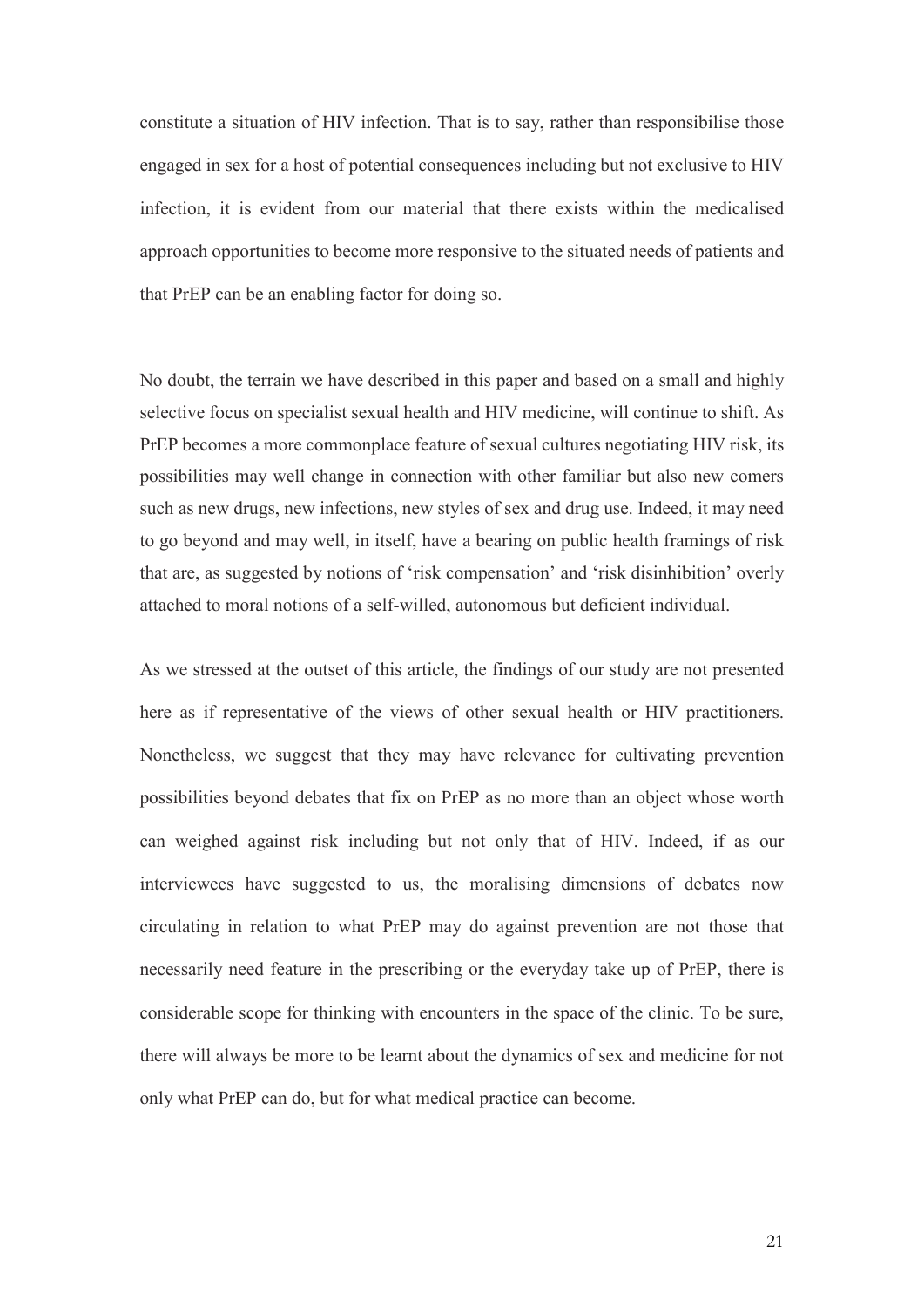<span id="page-21-1"></span><span id="page-21-0"></span>constitute a situation of HIV infection. That is to say, rather than responsibilise those engaged in sex for a host of potential consequences including but not exclusive to HIV infection, it is evident from our material that there exists within the medicalised approach opportunities to become more responsive to the situated needs of patients and that PrEP can be an enabling factor for doing so.

<span id="page-21-5"></span><span id="page-21-4"></span><span id="page-21-3"></span><span id="page-21-2"></span>No doubt, the terrain we have described in this paper and based on a small and highly selective focus on specialist sexual health and HIV medicine, will continue to shift. As PrEP becomes a more commonplace feature of sexual cultures negotiating HIV risk, its possibilities may well change in connection with other familiar but also new comers such as new drugs, new infections, new styles of sex and drug use. Indeed, it may need to go beyond and may well, in itself, have a bearing on public health framings of risk that are, as suggested by notions of 'risk compensation' and 'risk disinhibition' overly attached to moral notions of a self-willed, autonomous but deficient individual.

<span id="page-21-7"></span><span id="page-21-6"></span>As we stressed at the outset of this article, the findings of our study are not presented here as if representative of the views of other sexual health or HIV practitioners. Nonetheless, we suggest that they may have relevance for cultivating prevention possibilities beyond debates that fix on PrEP as no more than an object whose worth can weighed against risk including but not only that of HIV. Indeed, if as our interviewees have suggested to us, the moralising dimensions of debates now circulating in relation to what PrEP may do against prevention are not those that necessarily need feature in the prescribing or the everyday take up of PrEP, there is considerable scope for thinking with encounters in the space of the clinic. To be sure, there will always be more to be learnt about the dynamics of sex and medicine for not only what PrEP can do, but for what medical practice can become.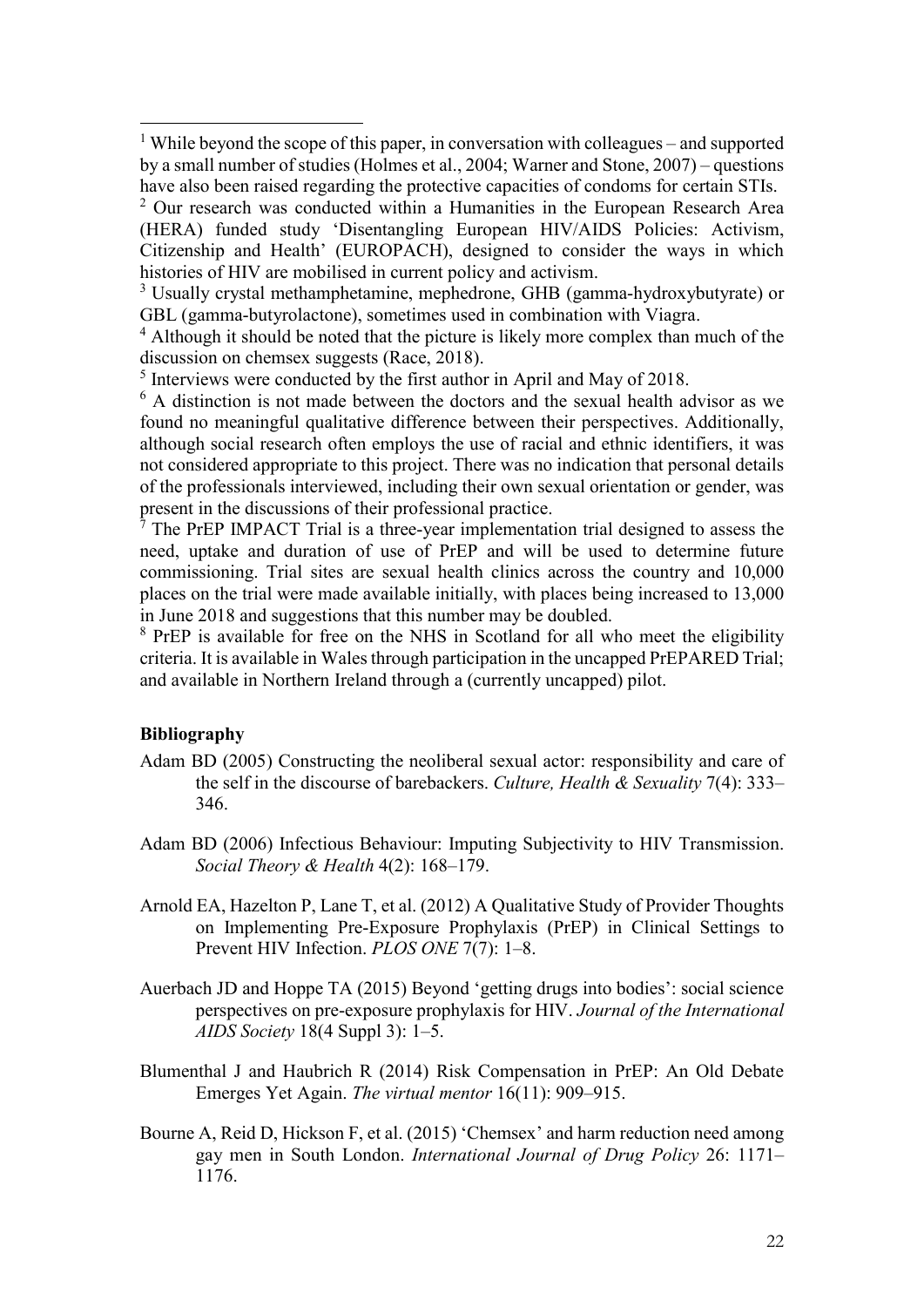<sup>1</sup> While beyond the scope of this paper, in conversation with colleagues – and supported by a small number of studies (Holmes et al., 2004; Warner and Stone, 2007) – questions have also been raised regarding the protective capacities of condoms for certain STIs.

<sup>2</sup> Our research was conducted within a Humanities in the European Research Area (HERA) funded study 'Disentangling European HIV/AIDS Policies: Activism, Citizenship and Health' (EUROPACH), designed to consider the ways in which histories of HIV are mobilised in current policy and activism.<br><sup>3</sup> Usually crystal methamphetamine, mephedrone, GHB (gamma-hydroxybutyrate) or

GBL (gamma-butyrolactone), sometimes used in combination with Viagra.

<sup>4</sup> Although it should be noted that the picture is likely more complex than much of the discussion on chemsex suggests (Race, 2018).

<sup>5</sup> Interviews were conducted by the first author in April and May of 2018.

<sup>6</sup> A distinction is not made between the doctors and the sexual health advisor as we found no meaningful qualitative difference between their perspectives. Additionally, although social research often employs the use of racial and ethnic identifiers, it was not considered appropriate to this project. There was no indication that personal details of the professionals interviewed, including their own sexual orientation or gender, was present in the discussions of their professional practice.<br><sup>7</sup> The PrEP IMPACT Trial is a three-year implementation trial designed to assess the

need, uptake and duration of use of PrEP and will be used to determine future commissioning. Trial sites are sexual health clinics across the country and 10,000 places on the trial were made available initially, with places being increased to 13,000 in June 2018 and suggestions that this number may be doubled.

<sup>8</sup> PrEP is available for free on the NHS in Scotland for all who meet the eligibility criteria. It is available in Wales through participation in the uncapped PrEPARED Trial; and available in Northern Ireland through a (currently uncapped) pilot.

### **Bibliography**

-

- Adam BD (2005) Constructing the neoliberal sexual actor: responsibility and care of the self in the discourse of barebackers. *Culture, Health & Sexuality* 7(4): 333– 346.
- Adam BD (2006) Infectious Behaviour: Imputing Subjectivity to HIV Transmission. *Social Theory & Health* 4(2): 168–179.
- Arnold EA, Hazelton P, Lane T, et al. (2012) A Qualitative Study of Provider Thoughts on Implementing Pre-Exposure Prophylaxis (PrEP) in Clinical Settings to Prevent HIV Infection. *PLOS ONE* 7(7): 1–8.
- Auerbach JD and Hoppe TA (2015) Beyond 'getting drugs into bodies': social science perspectives on pre-exposure prophylaxis for HIV. *Journal of the International AIDS Society* 18(4 Suppl 3): 1–5.
- Blumenthal J and Haubrich R (2014) Risk Compensation in PrEP: An Old Debate Emerges Yet Again. *The virtual mentor* 16(11): 909–915.
- Bourne A, Reid D, Hickson F, et al. (2015) 'Chemsex' and harm reduction need among gay men in South London. *International Journal of Drug Policy* 26: 1171– 1176.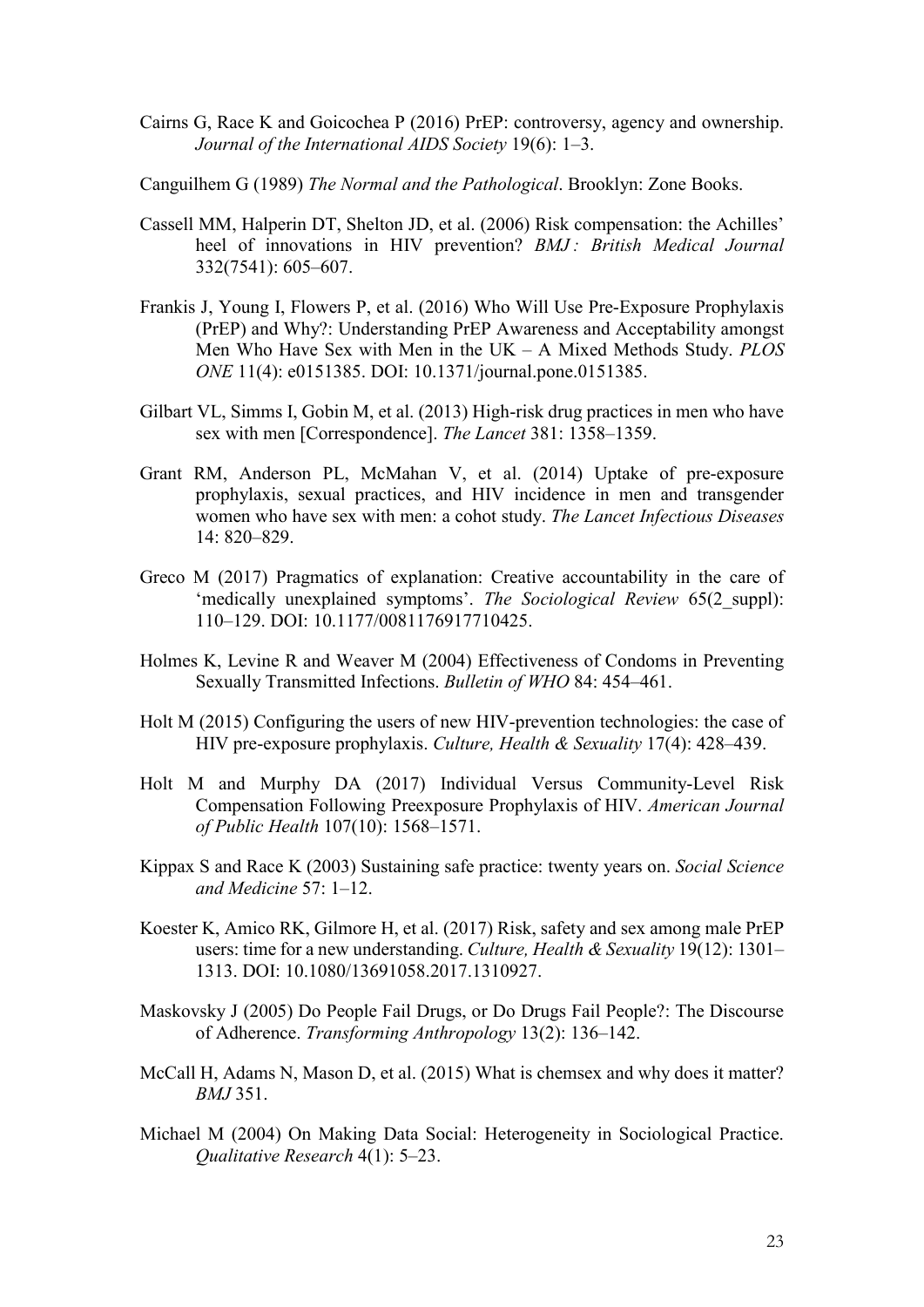- Cairns G, Race K and Goicochea P (2016) PrEP: controversy, agency and ownership. *Journal of the International AIDS Society* 19(6): 1–3.
- Canguilhem G (1989) *The Normal and the Pathological*. Brooklyn: Zone Books.
- Cassell MM, Halperin DT, Shelton JD, et al. (2006) Risk compensation: the Achilles' heel of innovations in HIV prevention? *BMJ : British Medical Journal* 332(7541): 605–607.
- Frankis J, Young I, Flowers P, et al. (2016) Who Will Use Pre-Exposure Prophylaxis (PrEP) and Why?: Understanding PrEP Awareness and Acceptability amongst Men Who Have Sex with Men in the UK – A Mixed Methods Study. *PLOS ONE* 11(4): e0151385. DOI: 10.1371/journal.pone.0151385.
- Gilbart VL, Simms I, Gobin M, et al. (2013) High-risk drug practices in men who have sex with men [Correspondence]. *The Lancet* 381: 1358–1359.
- Grant RM, Anderson PL, McMahan V, et al. (2014) Uptake of pre-exposure prophylaxis, sexual practices, and HIV incidence in men and transgender women who have sex with men: a cohot study. *The Lancet Infectious Diseases* 14: 820–829.
- Greco M (2017) Pragmatics of explanation: Creative accountability in the care of 'medically unexplained symptoms'. *The Sociological Review* 65(2\_suppl): 110–129. DOI: 10.1177/0081176917710425.
- Holmes K, Levine R and Weaver M (2004) Effectiveness of Condoms in Preventing Sexually Transmitted Infections. *Bulletin of WHO* 84: 454–461.
- Holt M (2015) Configuring the users of new HIV-prevention technologies: the case of HIV pre-exposure prophylaxis. *Culture, Health & Sexuality* 17(4): 428–439.
- Holt M and Murphy DA (2017) Individual Versus Community-Level Risk Compensation Following Preexposure Prophylaxis of HIV. *American Journal of Public Health* 107(10): 1568–1571.
- Kippax S and Race K (2003) Sustaining safe practice: twenty years on. *Social Science and Medicine* 57: 1–12.
- Koester K, Amico RK, Gilmore H, et al. (2017) Risk, safety and sex among male PrEP users: time for a new understanding. *Culture, Health & Sexuality* 19(12): 1301– 1313. DOI: 10.1080/13691058.2017.1310927.
- Maskovsky J (2005) Do People Fail Drugs, or Do Drugs Fail People?: The Discourse of Adherence. *Transforming Anthropology* 13(2): 136–142.
- McCall H, Adams N, Mason D, et al. (2015) What is chemsex and why does it matter? *BMJ* 351.
- Michael M (2004) On Making Data Social: Heterogeneity in Sociological Practice. *Qualitative Research* 4(1): 5–23.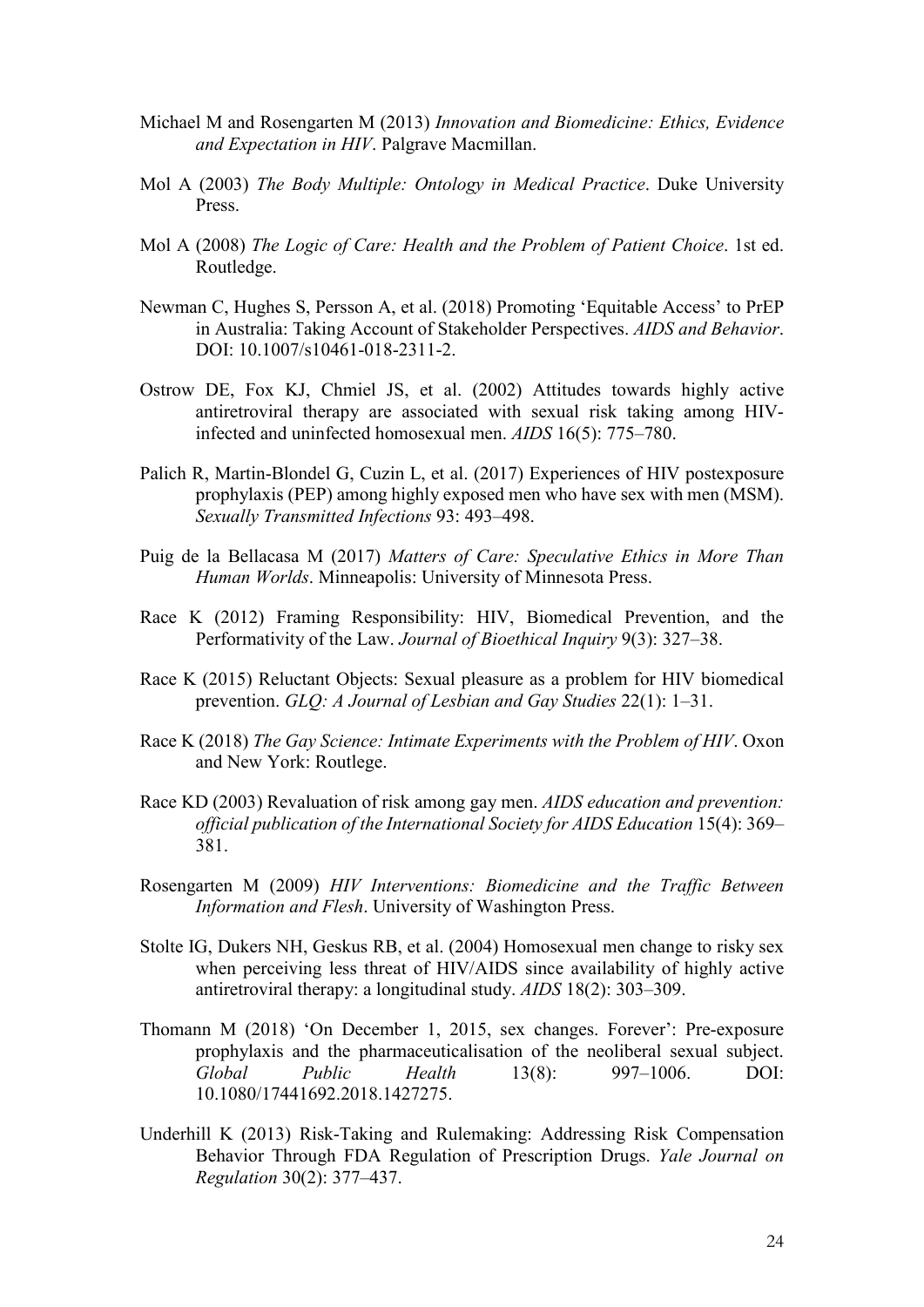- Michael M and Rosengarten M (2013) *Innovation and Biomedicine: Ethics, Evidence and Expectation in HIV*. Palgrave Macmillan.
- Mol A (2003) *The Body Multiple: Ontology in Medical Practice*. Duke University Press.
- Mol A (2008) *The Logic of Care: Health and the Problem of Patient Choice*. 1st ed. Routledge.
- Newman C, Hughes S, Persson A, et al. (2018) Promoting 'Equitable Access' to PrEP in Australia: Taking Account of Stakeholder Perspectives. *AIDS and Behavior*. DOI: 10.1007/s10461-018-2311-2.
- Ostrow DE, Fox KJ, Chmiel JS, et al. (2002) Attitudes towards highly active antiretroviral therapy are associated with sexual risk taking among HIVinfected and uninfected homosexual men. *AIDS* 16(5): 775–780.
- Palich R, Martin-Blondel G, Cuzin L, et al. (2017) Experiences of HIV postexposure prophylaxis (PEP) among highly exposed men who have sex with men (MSM). *Sexually Transmitted Infections* 93: 493–498.
- Puig de la Bellacasa M (2017) *Matters of Care: Speculative Ethics in More Than Human Worlds*. Minneapolis: University of Minnesota Press.
- Race K (2012) Framing Responsibility: HIV, Biomedical Prevention, and the Performativity of the Law. *Journal of Bioethical Inquiry* 9(3): 327–38.
- Race K (2015) Reluctant Objects: Sexual pleasure as a problem for HIV biomedical prevention. *GLQ: A Journal of Lesbian and Gay Studies* 22(1): 1–31.
- Race K (2018) *The Gay Science: Intimate Experiments with the Problem of HIV*. Oxon and New York: Routlege.
- Race KD (2003) Revaluation of risk among gay men. *AIDS education and prevention: official publication of the International Society for AIDS Education* 15(4): 369– 381.
- Rosengarten M (2009) *HIV Interventions: Biomedicine and the Traffic Between Information and Flesh*. University of Washington Press.
- Stolte IG, Dukers NH, Geskus RB, et al. (2004) Homosexual men change to risky sex when perceiving less threat of HIV/AIDS since availability of highly active antiretroviral therapy: a longitudinal study. *AIDS* 18(2): 303–309.
- Thomann M (2018) 'On December 1, 2015, sex changes. Forever': Pre-exposure prophylaxis and the pharmaceuticalisation of the neoliberal sexual subject. *Global Public Health* 13(8): 997–1006. DOI: 10.1080/17441692.2018.1427275.
- Underhill K (2013) Risk-Taking and Rulemaking: Addressing Risk Compensation Behavior Through FDA Regulation of Prescription Drugs. *Yale Journal on Regulation* 30(2): 377–437.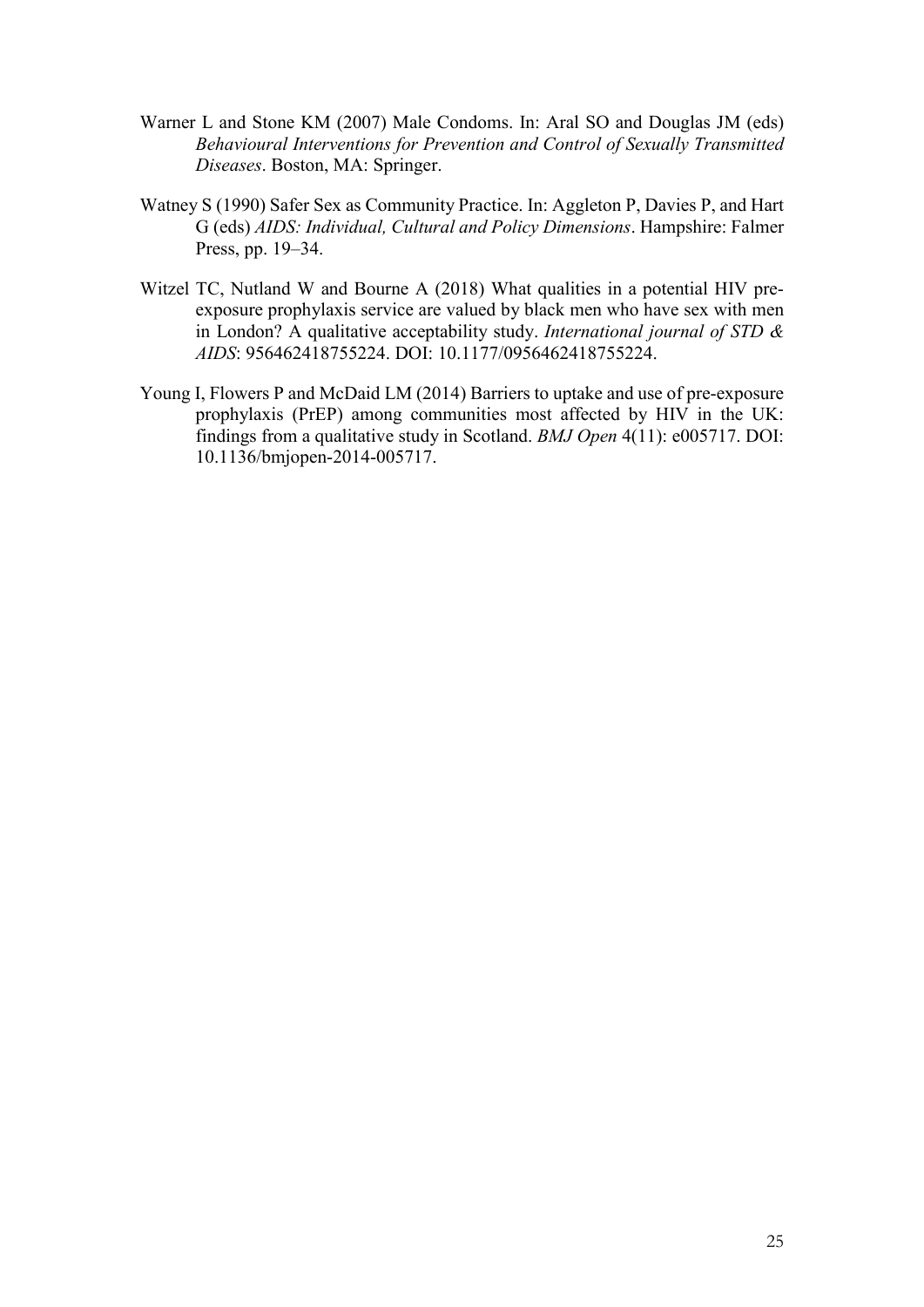- Warner L and Stone KM (2007) Male Condoms. In: Aral SO and Douglas JM (eds) *Behavioural Interventions for Prevention and Control of Sexually Transmitted Diseases*. Boston, MA: Springer.
- Watney S (1990) Safer Sex as Community Practice. In: Aggleton P, Davies P, and Hart G (eds) *AIDS: Individual, Cultural and Policy Dimensions*. Hampshire: Falmer Press, pp. 19–34.
- Witzel TC, Nutland W and Bourne A (2018) What qualities in a potential HIV preexposure prophylaxis service are valued by black men who have sex with men in London? A qualitative acceptability study. *International journal of STD & AIDS*: 956462418755224. DOI: 10.1177/0956462418755224.
- Young I, Flowers P and McDaid LM (2014) Barriers to uptake and use of pre-exposure prophylaxis (PrEP) among communities most affected by HIV in the UK: findings from a qualitative study in Scotland. *BMJ Open* 4(11): e005717. DOI: 10.1136/bmjopen-2014-005717.